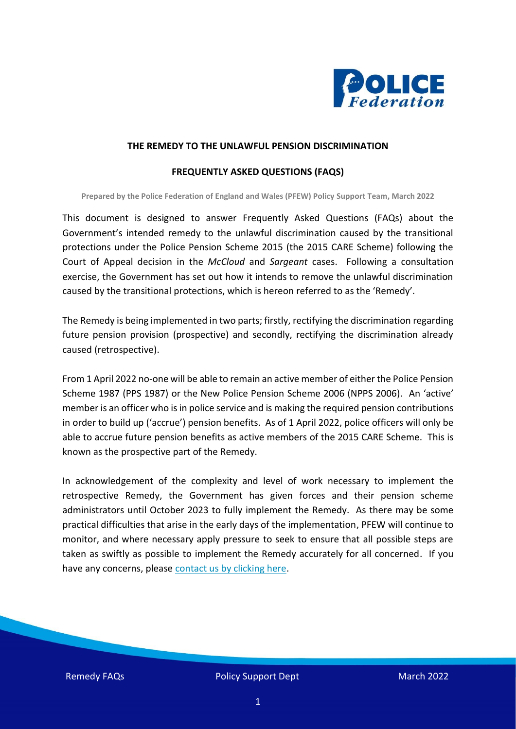

#### **THE REMEDY TO THE UNLAWFUL PENSION DISCRIMINATION**

#### **FREQUENTLY ASKED QUESTIONS (FAQS)**

**Prepared by the Police Federation of England and Wales (PFEW) Policy Support Team, March 2022**

This document is designed to answer Frequently Asked Questions (FAQs) about the Government's intended remedy to the unlawful discrimination caused by the transitional protections under the Police Pension Scheme 2015 (the 2015 CARE Scheme) following the Court of Appeal decision in the *McCloud* and *Sargeant* cases. Following a consultation exercise, the Government has set out how it intends to remove the unlawful discrimination caused by the transitional protections, which is hereon referred to as the 'Remedy'.

The Remedy is being implemented in two parts; firstly, rectifying the discrimination regarding future pension provision (prospective) and secondly, rectifying the discrimination already caused (retrospective).

From 1 April 2022 no-one will be able to remain an active member of either the Police Pension Scheme 1987 (PPS 1987) or the New Police Pension Scheme 2006 (NPPS 2006). An 'active' member is an officer who is in police service and is making the required pension contributions in order to build up ('accrue') pension benefits. As of 1 April 2022, police officers will only be able to accrue future pension benefits as active members of the 2015 CARE Scheme. This is known as the prospective part of the Remedy.

In acknowledgement of the complexity and level of work necessary to implement the retrospective Remedy, the Government has given forces and their pension scheme administrators until October 2023 to fully implement the Remedy. As there may be some practical difficulties that arise in the early days of the implementation, PFEW will continue to monitor, and where necessary apply pressure to seek to ensure that all possible steps are taken as swiftly as possible to implement the Remedy accurately for all concerned. If you have any concerns, please [contact us by clicking here.](mailto:termsandconditions@polfed.org?subject=Pension%20Remedy%20FAQs)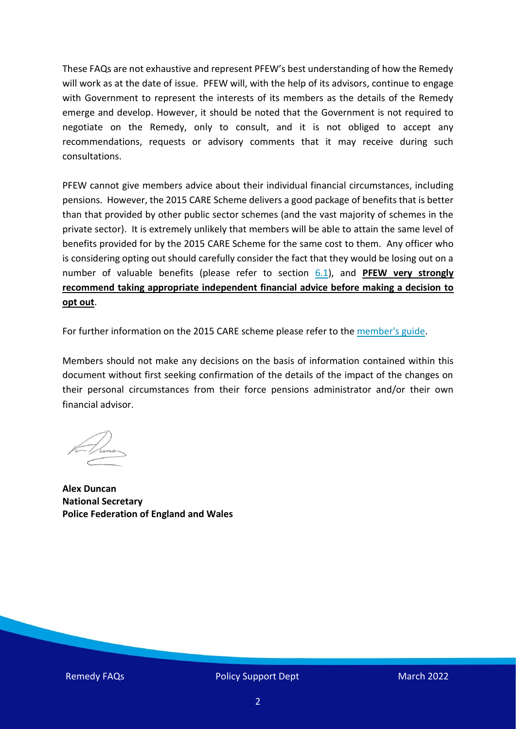These FAQs are not exhaustive and represent PFEW's best understanding of how the Remedy will work as at the date of issue. PFEW will, with the help of its advisors, continue to engage with Government to represent the interests of its members as the details of the Remedy emerge and develop. However, it should be noted that the Government is not required to negotiate on the Remedy, only to consult, and it is not obliged to accept any recommendations, requests or advisory comments that it may receive during such consultations.

PFEW cannot give members advice about their individual financial circumstances, including pensions. However, the 2015 CARE Scheme delivers a good package of benefits that is better than that provided by other public sector schemes (and the vast majority of schemes in the private sector). It is extremely unlikely that members will be able to attain the same level of benefits provided for by the 2015 CARE Scheme for the same cost to them. Any officer who is considering opting out should carefully consider the fact that they would be losing out on a number of valuable benefits (please refer to section [6.1\)](#page-33-0), and **PFEW very strongly recommend taking appropriate independent financial advice before making a decision to opt out**.

For further information on the 2015 CARE scheme please refer to the [member's guide.](https://www.gov.uk/government/publications/the-police-pensions-scheme-2015-members-guide)

Members should not make any decisions on the basis of information contained within this document without first seeking confirmation of the details of the impact of the changes on their personal circumstances from their force pensions administrator and/or their own financial advisor.

**Alex Duncan National Secretary Police Federation of England and Wales**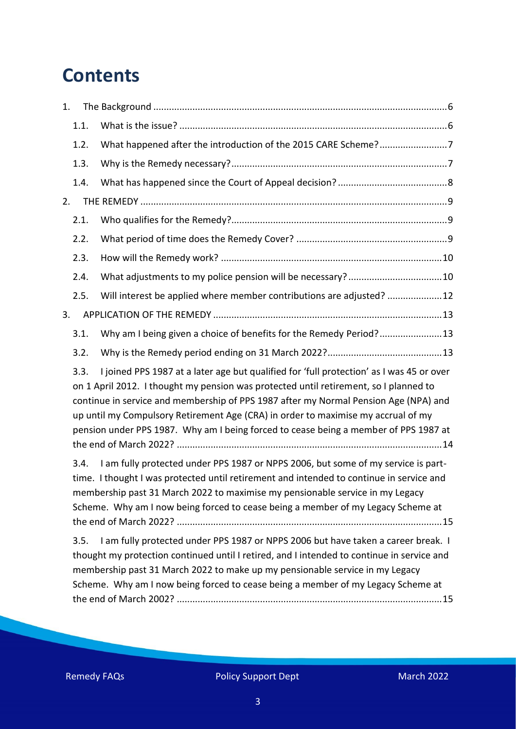# **Contents**

| 1.                                                                                                                                                                                                                                                                                                                                                                                                                                                                                                                                                                                                                                                                                                                               |      |                                                                                          |
|----------------------------------------------------------------------------------------------------------------------------------------------------------------------------------------------------------------------------------------------------------------------------------------------------------------------------------------------------------------------------------------------------------------------------------------------------------------------------------------------------------------------------------------------------------------------------------------------------------------------------------------------------------------------------------------------------------------------------------|------|------------------------------------------------------------------------------------------|
|                                                                                                                                                                                                                                                                                                                                                                                                                                                                                                                                                                                                                                                                                                                                  | 1.1. |                                                                                          |
|                                                                                                                                                                                                                                                                                                                                                                                                                                                                                                                                                                                                                                                                                                                                  | 1.2. | What happened after the introduction of the 2015 CARE Scheme?7                           |
|                                                                                                                                                                                                                                                                                                                                                                                                                                                                                                                                                                                                                                                                                                                                  | 1.3. |                                                                                          |
|                                                                                                                                                                                                                                                                                                                                                                                                                                                                                                                                                                                                                                                                                                                                  | 1.4. |                                                                                          |
| 2.                                                                                                                                                                                                                                                                                                                                                                                                                                                                                                                                                                                                                                                                                                                               |      |                                                                                          |
|                                                                                                                                                                                                                                                                                                                                                                                                                                                                                                                                                                                                                                                                                                                                  | 2.1. |                                                                                          |
|                                                                                                                                                                                                                                                                                                                                                                                                                                                                                                                                                                                                                                                                                                                                  | 2.2. |                                                                                          |
|                                                                                                                                                                                                                                                                                                                                                                                                                                                                                                                                                                                                                                                                                                                                  | 2.3. |                                                                                          |
|                                                                                                                                                                                                                                                                                                                                                                                                                                                                                                                                                                                                                                                                                                                                  | 2.4. | What adjustments to my police pension will be necessary?10                               |
|                                                                                                                                                                                                                                                                                                                                                                                                                                                                                                                                                                                                                                                                                                                                  | 2.5. | Will interest be applied where member contributions are adjusted? 12                     |
| 3.                                                                                                                                                                                                                                                                                                                                                                                                                                                                                                                                                                                                                                                                                                                               |      |                                                                                          |
|                                                                                                                                                                                                                                                                                                                                                                                                                                                                                                                                                                                                                                                                                                                                  | 3.1. | Why am I being given a choice of benefits for the Remedy Period?13                       |
|                                                                                                                                                                                                                                                                                                                                                                                                                                                                                                                                                                                                                                                                                                                                  | 3.2. |                                                                                          |
| 3.3.<br>on 1 April 2012. I thought my pension was protected until retirement, so I planned to<br>continue in service and membership of PPS 1987 after my Normal Pension Age (NPA) and<br>up until my Compulsory Retirement Age (CRA) in order to maximise my accrual of my<br>pension under PPS 1987. Why am I being forced to cease being a member of PPS 1987 at<br>I am fully protected under PPS 1987 or NPPS 2006, but some of my service is part-<br>3.4.<br>time. I thought I was protected until retirement and intended to continue in service and<br>membership past 31 March 2022 to maximise my pensionable service in my Legacy<br>Scheme. Why am I now being forced to cease being a member of my Legacy Scheme at |      | I joined PPS 1987 at a later age but qualified for 'full protection' as I was 45 or over |
|                                                                                                                                                                                                                                                                                                                                                                                                                                                                                                                                                                                                                                                                                                                                  |      |                                                                                          |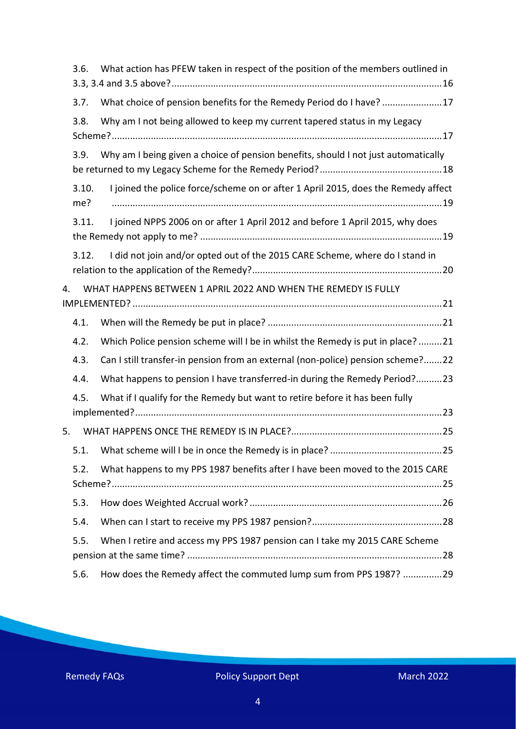|                                                                      | 3.6.         | What action has PFEW taken in respect of the position of the members outlined in   |
|----------------------------------------------------------------------|--------------|------------------------------------------------------------------------------------|
|                                                                      | 3.7.         | What choice of pension benefits for the Remedy Period do I have? 17                |
|                                                                      | 3.8.         | Why am I not being allowed to keep my current tapered status in my Legacy          |
|                                                                      | 3.9.         | Why am I being given a choice of pension benefits, should I not just automatically |
|                                                                      | 3.10.<br>me? | I joined the police force/scheme on or after 1 April 2015, does the Remedy affect  |
|                                                                      | 3.11.        | I joined NPPS 2006 on or after 1 April 2012 and before 1 April 2015, why does      |
|                                                                      | 3.12.        | I did not join and/or opted out of the 2015 CARE Scheme, where do I stand in       |
| WHAT HAPPENS BETWEEN 1 APRIL 2022 AND WHEN THE REMEDY IS FULLY<br>4. |              |                                                                                    |
|                                                                      | 4.1.         |                                                                                    |
|                                                                      | 4.2.         | Which Police pension scheme will I be in whilst the Remedy is put in place? 21     |
|                                                                      | 4.3.         | Can I still transfer-in pension from an external (non-police) pension scheme?22    |
|                                                                      | 4.4.         | What happens to pension I have transferred-in during the Remedy Period?23          |
|                                                                      | 4.5.         | What if I qualify for the Remedy but want to retire before it has been fully       |
| 5.                                                                   |              |                                                                                    |
|                                                                      | 5.1.         |                                                                                    |
|                                                                      | 5.2.         | What happens to my PPS 1987 benefits after I have been moved to the 2015 CARE      |
|                                                                      | 5.3.         |                                                                                    |
|                                                                      | 5.4.         |                                                                                    |
|                                                                      | 5.5.         | When I retire and access my PPS 1987 pension can I take my 2015 CARE Scheme        |
|                                                                      | 5.6.         | How does the Remedy affect the commuted lump sum from PPS 1987? 29                 |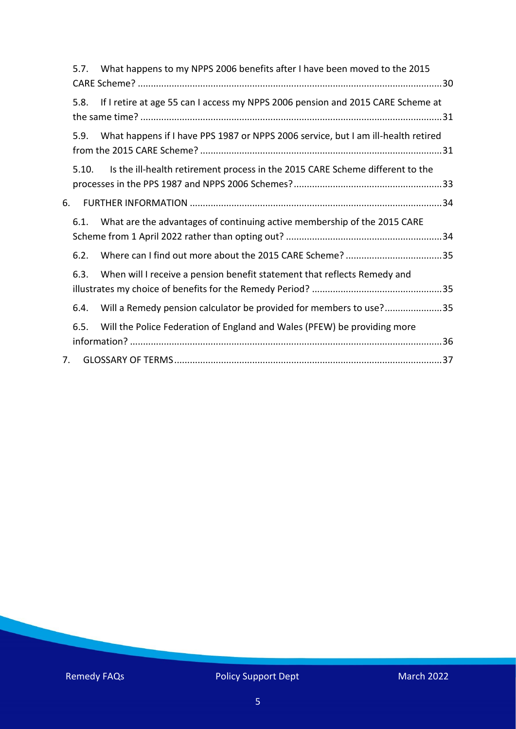|    | 5.7.  | What happens to my NPPS 2006 benefits after I have been moved to the 2015         |
|----|-------|-----------------------------------------------------------------------------------|
|    | 5.8.  | If I retire at age 55 can I access my NPPS 2006 pension and 2015 CARE Scheme at   |
|    | 5.9.  | What happens if I have PPS 1987 or NPPS 2006 service, but I am ill-health retired |
|    | 5.10. | Is the ill-health retirement process in the 2015 CARE Scheme different to the     |
| 6. |       |                                                                                   |
|    | 6.1.  | What are the advantages of continuing active membership of the 2015 CARE          |
|    | 6.2.  |                                                                                   |
|    | 6.3.  | When will I receive a pension benefit statement that reflects Remedy and          |
|    | 6.4.  | Will a Remedy pension calculator be provided for members to use?35                |
|    | 6.5.  | Will the Police Federation of England and Wales (PFEW) be providing more          |
| 7. |       |                                                                                   |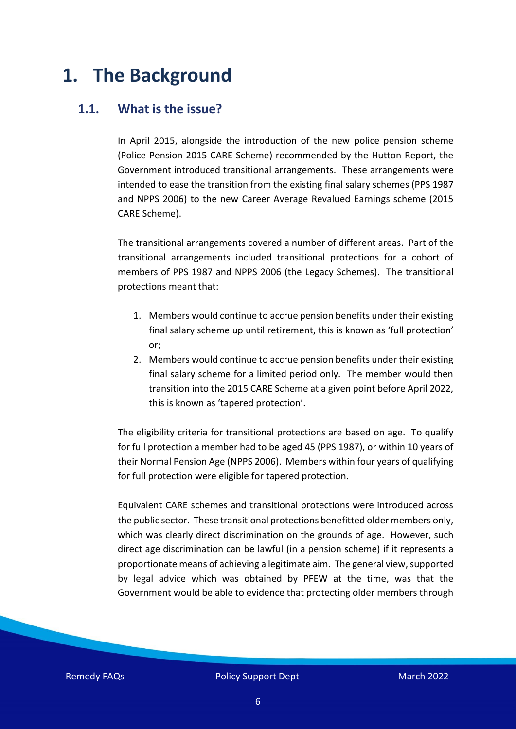# <span id="page-5-0"></span>**1. The Background**

#### <span id="page-5-1"></span>**1.1. What is the issue?**

In April 2015, alongside the introduction of the new police pension scheme (Police Pension 2015 CARE Scheme) recommended by the Hutton Report, the Government introduced transitional arrangements. These arrangements were intended to ease the transition from the existing final salary schemes (PPS 1987 and NPPS 2006) to the new Career Average Revalued Earnings scheme (2015 CARE Scheme).

The transitional arrangements covered a number of different areas. Part of the transitional arrangements included transitional protections for a cohort of members of PPS 1987 and NPPS 2006 (the Legacy Schemes). The transitional protections meant that:

- 1. Members would continue to accrue pension benefits under their existing final salary scheme up until retirement, this is known as 'full protection' or;
- 2. Members would continue to accrue pension benefits under their existing final salary scheme for a limited period only. The member would then transition into the 2015 CARE Scheme at a given point before April 2022, this is known as 'tapered protection'.

The eligibility criteria for transitional protections are based on age. To qualify for full protection a member had to be aged 45 (PPS 1987), or within 10 years of their Normal Pension Age (NPPS 2006). Members within four years of qualifying for full protection were eligible for tapered protection.

Equivalent CARE schemes and transitional protections were introduced across the public sector. These transitional protections benefitted older members only, which was clearly direct discrimination on the grounds of age. However, such direct age discrimination can be lawful (in a pension scheme) if it represents a proportionate means of achieving a legitimate aim. The general view, supported by legal advice which was obtained by PFEW at the time, was that the Government would be able to evidence that protecting older members through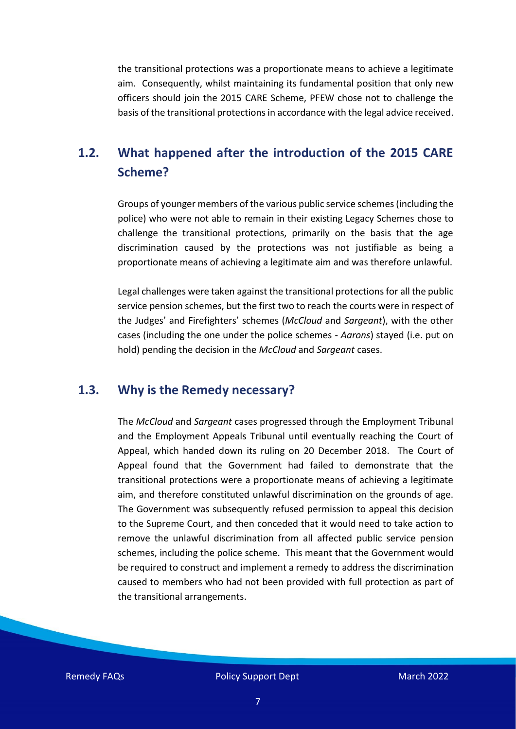the transitional protections was a proportionate means to achieve a legitimate aim. Consequently, whilst maintaining its fundamental position that only new officers should join the 2015 CARE Scheme, PFEW chose not to challenge the basis of the transitional protections in accordance with the legal advice received.

## <span id="page-6-0"></span>**1.2. What happened after the introduction of the 2015 CARE Scheme?**

Groups of younger members of the various public service schemes (including the police) who were not able to remain in their existing Legacy Schemes chose to challenge the transitional protections, primarily on the basis that the age discrimination caused by the protections was not justifiable as being a proportionate means of achieving a legitimate aim and was therefore unlawful.

Legal challenges were taken against the transitional protections for all the public service pension schemes, but the first two to reach the courts were in respect of the Judges' and Firefighters' schemes (*McCloud* and *Sargeant*), with the other cases (including the one under the police schemes - *Aarons*) stayed (i.e. put on hold) pending the decision in the *McCloud* and *Sargeant* cases.

#### <span id="page-6-1"></span>**1.3. Why is the Remedy necessary?**

The *McCloud* and *Sargeant* cases progressed through the Employment Tribunal and the Employment Appeals Tribunal until eventually reaching the Court of Appeal, which handed down its ruling on 20 December 2018. The Court of Appeal found that the Government had failed to demonstrate that the transitional protections were a proportionate means of achieving a legitimate aim, and therefore constituted unlawful discrimination on the grounds of age. The Government was subsequently refused permission to appeal this decision to the Supreme Court, and then conceded that it would need to take action to remove the unlawful discrimination from all affected public service pension schemes, including the police scheme. This meant that the Government would be required to construct and implement a remedy to address the discrimination caused to members who had not been provided with full protection as part of the transitional arrangements.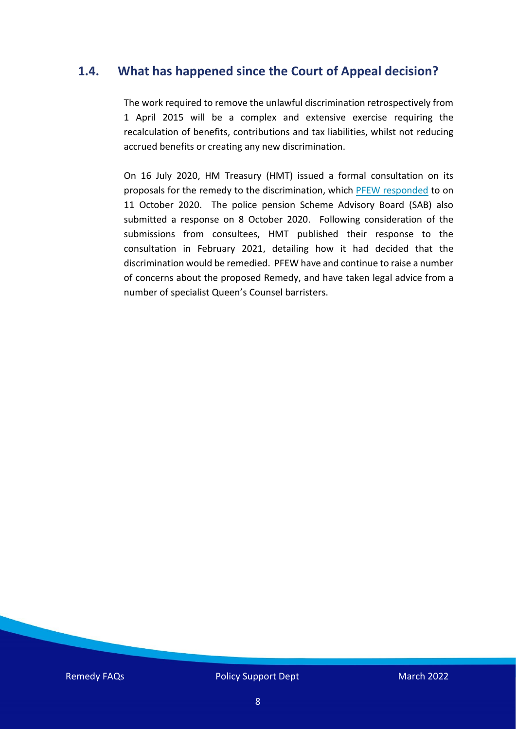### <span id="page-7-0"></span>**1.4. What has happened since the Court of Appeal decision?**

The work required to remove the unlawful discrimination retrospectively from 1 April 2015 will be a complex and extensive exercise requiring the recalculation of benefits, contributions and tax liabilities, whilst not reducing accrued benefits or creating any new discrimination.

On 16 July 2020, HM Treasury (HMT) issued a formal consultation on its proposals for the remedy to the discrimination, which [PFEW responded](https://www.polfed.org/media/16218/pfew-remedy-consultation-response-11-10-2020-v10.pdf) to on 11 October 2020. The police pension Scheme Advisory Board (SAB) also submitted a response on 8 October 2020. Following consideration of the submissions from consultees, HMT published their response to the consultation in February 2021, detailing how it had decided that the discrimination would be remedied. PFEW have and continue to raise a number of concerns about the proposed Remedy, and have taken legal advice from a number of specialist Queen's Counsel barristers.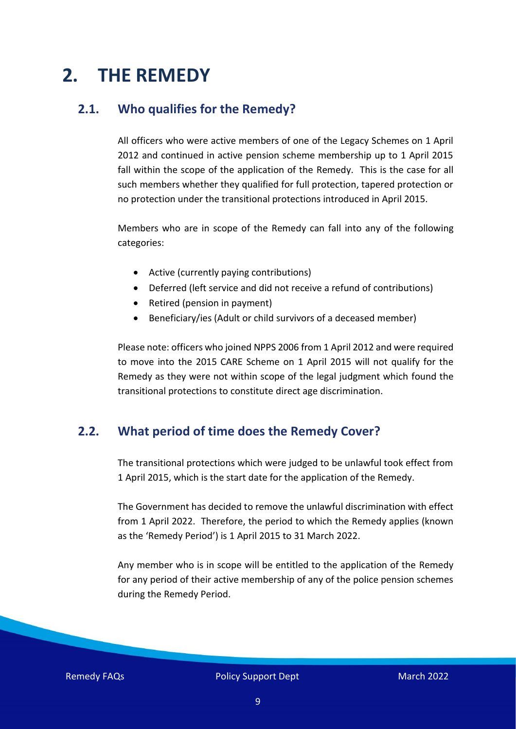# <span id="page-8-0"></span>**2. THE REMEDY**

#### <span id="page-8-1"></span>**2.1. Who qualifies for the Remedy?**

All officers who were active members of one of the Legacy Schemes on 1 April 2012 and continued in active pension scheme membership up to 1 April 2015 fall within the scope of the application of the Remedy. This is the case for all such members whether they qualified for full protection, tapered protection or no protection under the transitional protections introduced in April 2015.

Members who are in scope of the Remedy can fall into any of the following categories:

- Active (currently paying contributions)
- Deferred (left service and did not receive a refund of contributions)
- Retired (pension in payment)
- Beneficiary/ies (Adult or child survivors of a deceased member)

Please note: officers who joined NPPS 2006 from 1 April 2012 and were required to move into the 2015 CARE Scheme on 1 April 2015 will not qualify for the Remedy as they were not within scope of the legal judgment which found the transitional protections to constitute direct age discrimination.

#### <span id="page-8-2"></span>**2.2. What period of time does the Remedy Cover?**

The transitional protections which were judged to be unlawful took effect from 1 April 2015, which is the start date for the application of the Remedy.

The Government has decided to remove the unlawful discrimination with effect from 1 April 2022. Therefore, the period to which the Remedy applies (known as the 'Remedy Period') is 1 April 2015 to 31 March 2022.

Any member who is in scope will be entitled to the application of the Remedy for any period of their active membership of any of the police pension schemes during the Remedy Period.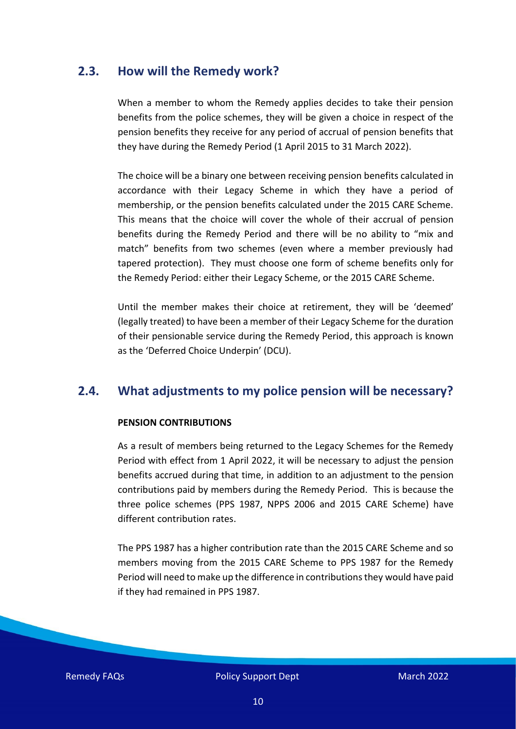#### <span id="page-9-0"></span>**2.3. How will the Remedy work?**

When a member to whom the Remedy applies decides to take their pension benefits from the police schemes, they will be given a choice in respect of the pension benefits they receive for any period of accrual of pension benefits that they have during the Remedy Period (1 April 2015 to 31 March 2022).

The choice will be a binary one between receiving pension benefits calculated in accordance with their Legacy Scheme in which they have a period of membership, or the pension benefits calculated under the 2015 CARE Scheme. This means that the choice will cover the whole of their accrual of pension benefits during the Remedy Period and there will be no ability to "mix and match" benefits from two schemes (even where a member previously had tapered protection). They must choose one form of scheme benefits only for the Remedy Period: either their Legacy Scheme, or the 2015 CARE Scheme.

Until the member makes their choice at retirement, they will be 'deemed' (legally treated) to have been a member of their Legacy Scheme for the duration of their pensionable service during the Remedy Period, this approach is known as the 'Deferred Choice Underpin' (DCU).

#### <span id="page-9-1"></span>**2.4. What adjustments to my police pension will be necessary?**

#### **PENSION CONTRIBUTIONS**

As a result of members being returned to the Legacy Schemes for the Remedy Period with effect from 1 April 2022, it will be necessary to adjust the pension benefits accrued during that time, in addition to an adjustment to the pension contributions paid by members during the Remedy Period. This is because the three police schemes (PPS 1987, NPPS 2006 and 2015 CARE Scheme) have different contribution rates.

The PPS 1987 has a higher contribution rate than the 2015 CARE Scheme and so members moving from the 2015 CARE Scheme to PPS 1987 for the Remedy Period will need to make up the difference in contributions they would have paid if they had remained in PPS 1987.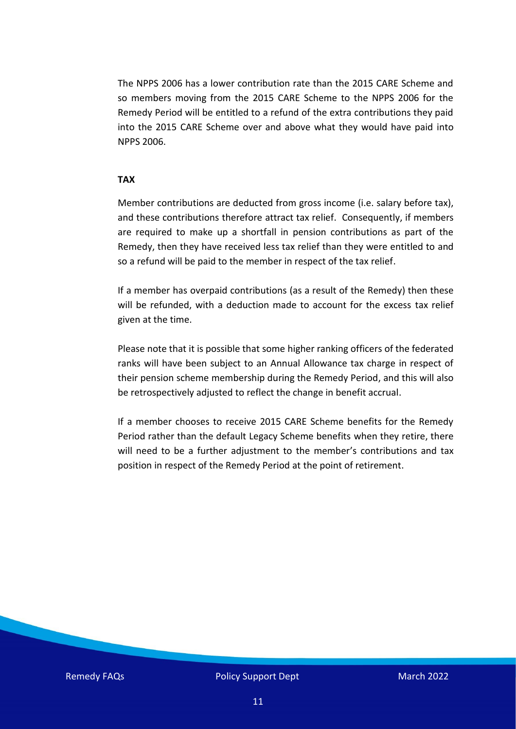The NPPS 2006 has a lower contribution rate than the 2015 CARE Scheme and so members moving from the 2015 CARE Scheme to the NPPS 2006 for the Remedy Period will be entitled to a refund of the extra contributions they paid into the 2015 CARE Scheme over and above what they would have paid into NPPS 2006.

#### **TAX**

Member contributions are deducted from gross income (i.e. salary before tax), and these contributions therefore attract tax relief. Consequently, if members are required to make up a shortfall in pension contributions as part of the Remedy, then they have received less tax relief than they were entitled to and so a refund will be paid to the member in respect of the tax relief.

If a member has overpaid contributions (as a result of the Remedy) then these will be refunded, with a deduction made to account for the excess tax relief given at the time.

Please note that it is possible that some higher ranking officers of the federated ranks will have been subject to an Annual Allowance tax charge in respect of their pension scheme membership during the Remedy Period, and this will also be retrospectively adjusted to reflect the change in benefit accrual.

If a member chooses to receive 2015 CARE Scheme benefits for the Remedy Period rather than the default Legacy Scheme benefits when they retire, there will need to be a further adjustment to the member's contributions and tax position in respect of the Remedy Period at the point of retirement.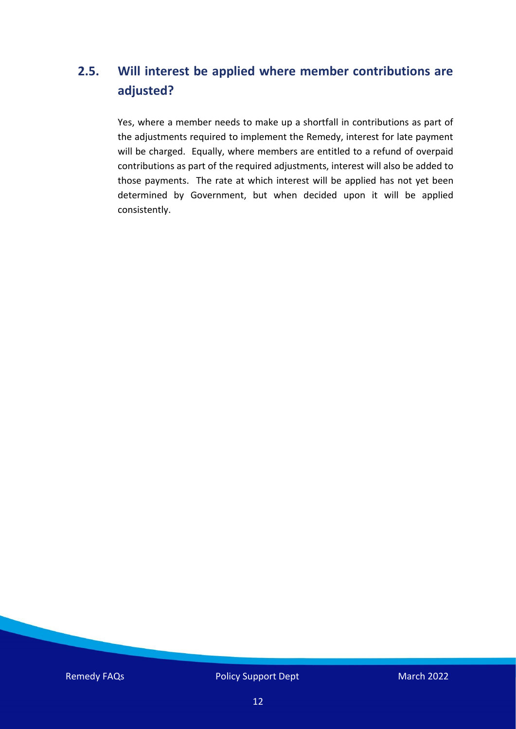# <span id="page-11-0"></span>**2.5. Will interest be applied where member contributions are adjusted?**

Yes, where a member needs to make up a shortfall in contributions as part of the adjustments required to implement the Remedy, interest for late payment will be charged. Equally, where members are entitled to a refund of overpaid contributions as part of the required adjustments, interest will also be added to those payments. The rate at which interest will be applied has not yet been determined by Government, but when decided upon it will be applied consistently.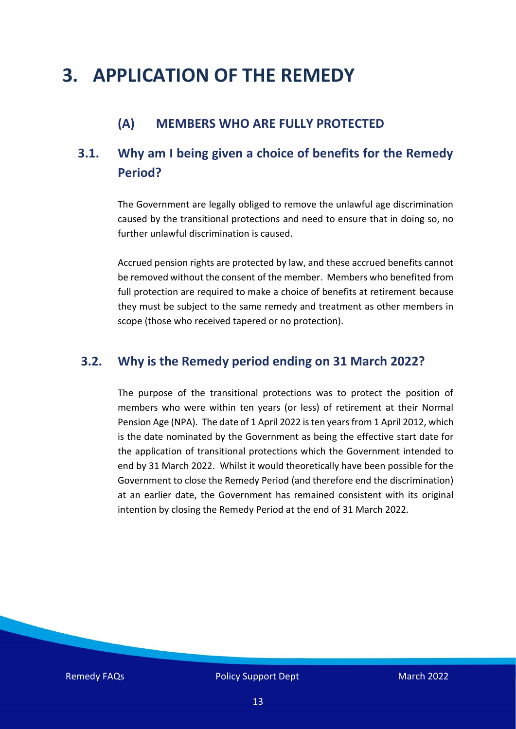# <span id="page-12-0"></span>**3. APPLICATION OF THE REMEDY**

### **(A) MEMBERS WHO ARE FULLY PROTECTED**

# <span id="page-12-1"></span>**3.1. Why am I being given a choice of benefits for the Remedy Period?**

The Government are legally obliged to remove the unlawful age discrimination caused by the transitional protections and need to ensure that in doing so, no further unlawful discrimination is caused.

Accrued pension rights are protected by law, and these accrued benefits cannot be removed without the consent of the member. Members who benefited from full protection are required to make a choice of benefits at retirement because they must be subject to the same remedy and treatment as other members in scope (those who received tapered or no protection).

#### <span id="page-12-2"></span>**3.2. Why is the Remedy period ending on 31 March 2022?**

The purpose of the transitional protections was to protect the position of members who were within ten years (or less) of retirement at their Normal Pension Age (NPA). The date of 1 April 2022 is ten years from 1 April 2012, which is the date nominated by the Government as being the effective start date for the application of transitional protections which the Government intended to end by 31 March 2022. Whilst it would theoretically have been possible for the Government to close the Remedy Period (and therefore end the discrimination) at an earlier date, the Government has remained consistent with its original intention by closing the Remedy Period at the end of 31 March 2022.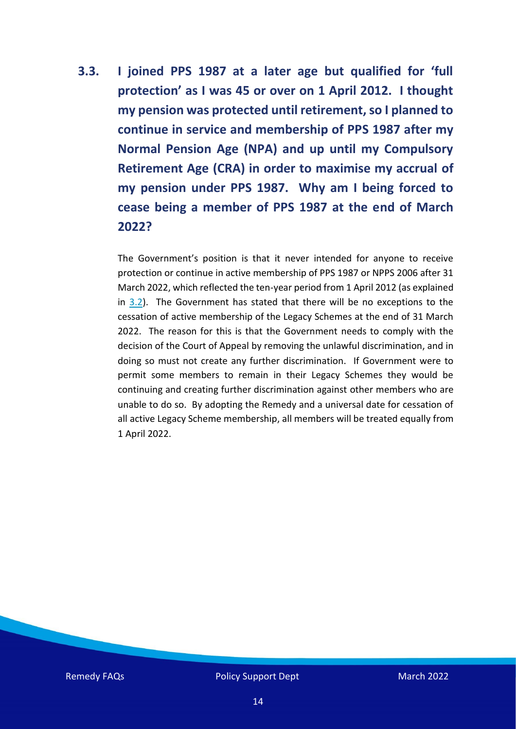<span id="page-13-0"></span>**3.3. I joined PPS 1987 at a later age but qualified for 'full protection' as I was 45 or over on 1 April 2012. I thought my pension was protected until retirement, so I planned to continue in service and membership of PPS 1987 after my Normal Pension Age (NPA) and up until my Compulsory Retirement Age (CRA) in order to maximise my accrual of my pension under PPS 1987. Why am I being forced to cease being a member of PPS 1987 at the end of March 2022?** 

> The Government's position is that it never intended for anyone to receive protection or continue in active membership of PPS 1987 or NPPS 2006 after 31 March 2022, which reflected the ten-year period from 1 April 2012 (as explained in [3.2\)](#page-12-2). The Government has stated that there will be no exceptions to the cessation of active membership of the Legacy Schemes at the end of 31 March 2022. The reason for this is that the Government needs to comply with the decision of the Court of Appeal by removing the unlawful discrimination, and in doing so must not create any further discrimination. If Government were to permit some members to remain in their Legacy Schemes they would be continuing and creating further discrimination against other members who are unable to do so. By adopting the Remedy and a universal date for cessation of all active Legacy Scheme membership, all members will be treated equally from 1 April 2022.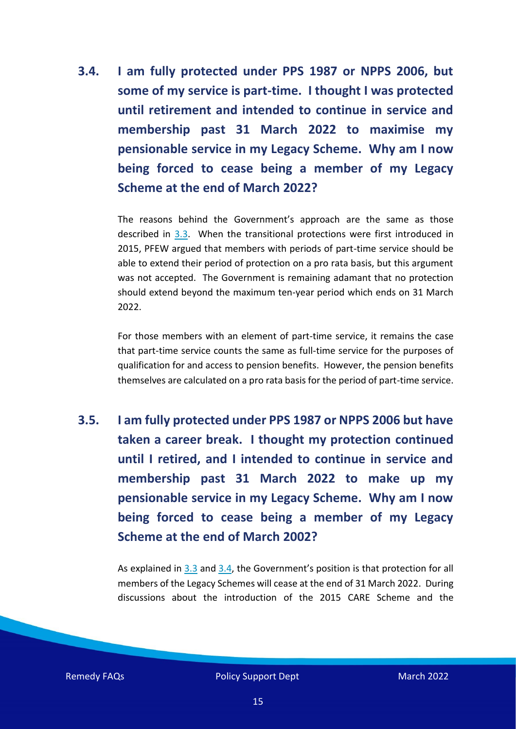<span id="page-14-0"></span>**3.4. I am fully protected under PPS 1987 or NPPS 2006, but some of my service is part-time. I thought I was protected until retirement and intended to continue in service and membership past 31 March 2022 to maximise my pensionable service in my Legacy Scheme. Why am I now being forced to cease being a member of my Legacy Scheme at the end of March 2022?** 

> The reasons behind the Government's approach are the same as those described in [3.3.](#page-13-0) When the transitional protections were first introduced in 2015, PFEW argued that members with periods of part-time service should be able to extend their period of protection on a pro rata basis, but this argument was not accepted. The Government is remaining adamant that no protection should extend beyond the maximum ten-year period which ends on 31 March 2022.

> For those members with an element of part-time service, it remains the case that part-time service counts the same as full-time service for the purposes of qualification for and access to pension benefits. However, the pension benefits themselves are calculated on a pro rata basis for the period of part-time service.

<span id="page-14-1"></span>**3.5. I am fully protected under PPS 1987 or NPPS 2006 but have taken a career break. I thought my protection continued until I retired, and I intended to continue in service and membership past 31 March 2022 to make up my pensionable service in my Legacy Scheme. Why am I now being forced to cease being a member of my Legacy Scheme at the end of March 2002?** 

> As explained in [3.3](#page-13-0) and [3.4,](#page-14-0) the Government's position is that protection for all members of the Legacy Schemes will cease at the end of 31 March 2022. During discussions about the introduction of the 2015 CARE Scheme and the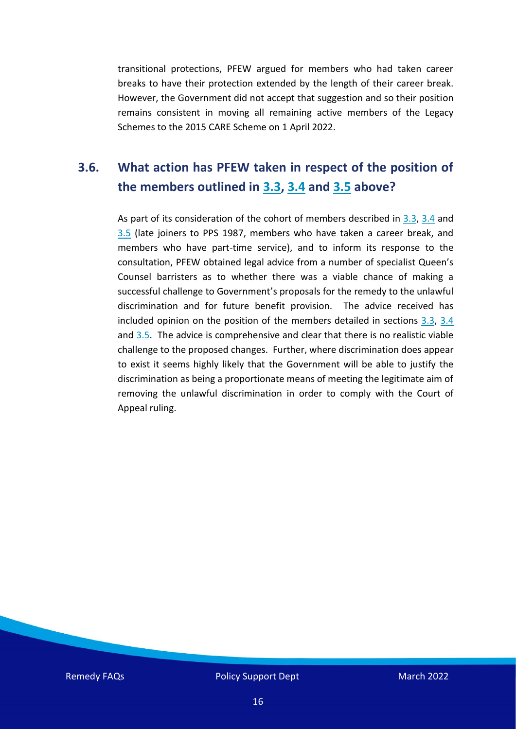transitional protections, PFEW argued for members who had taken career breaks to have their protection extended by the length of their career break. However, the Government did not accept that suggestion and so their position remains consistent in moving all remaining active members of the Legacy Schemes to the 2015 CARE Scheme on 1 April 2022.

# <span id="page-15-0"></span>**3.6. What action has PFEW taken in respect of the position of the members outlined in [3.3,](#page-13-0) [3.4](#page-14-0) and [3.5](#page-14-1) above?**

As part of its consideration of the cohort of members described in [3.3,](#page-13-0) [3.4](#page-14-0) and [3.5](#page-14-1) (late joiners to PPS 1987, members who have taken a career break, and members who have part-time service), and to inform its response to the consultation, PFEW obtained legal advice from a number of specialist Queen's Counsel barristers as to whether there was a viable chance of making a successful challenge to Government's proposals for the remedy to the unlawful discrimination and for future benefit provision. The advice received has included opinion on the position of the members detailed in sections [3.3,](#page-13-0) [3.4](#page-14-0) and  $3.5$ . The advice is comprehensive and clear that there is no realistic viable challenge to the proposed changes. Further, where discrimination does appear to exist it seems highly likely that the Government will be able to justify the discrimination as being a proportionate means of meeting the legitimate aim of removing the unlawful discrimination in order to comply with the Court of Appeal ruling.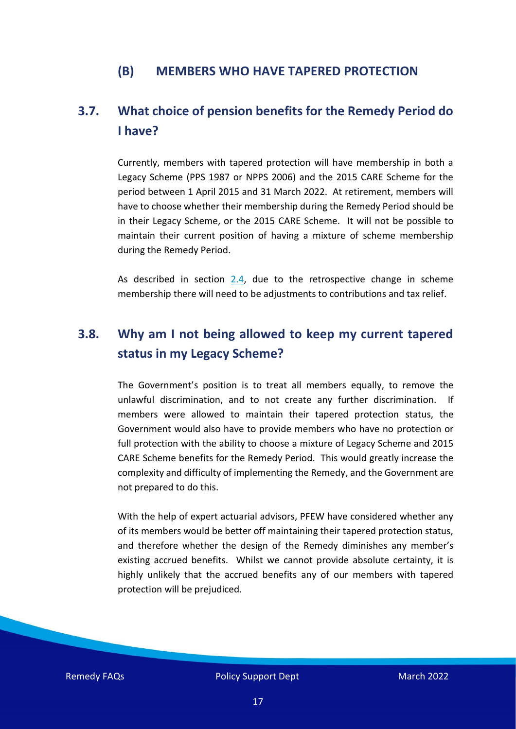#### **(B) MEMBERS WHO HAVE TAPERED PROTECTION**

## <span id="page-16-0"></span>**3.7. What choice of pension benefits for the Remedy Period do I have?**

Currently, members with tapered protection will have membership in both a Legacy Scheme (PPS 1987 or NPPS 2006) and the 2015 CARE Scheme for the period between 1 April 2015 and 31 March 2022. At retirement, members will have to choose whether their membership during the Remedy Period should be in their Legacy Scheme, or the 2015 CARE Scheme. It will not be possible to maintain their current position of having a mixture of scheme membership during the Remedy Period.

As described in section [2.4,](#page-9-1) due to the retrospective change in scheme membership there will need to be adjustments to contributions and tax relief.

## <span id="page-16-1"></span>**3.8. Why am I not being allowed to keep my current tapered status in my Legacy Scheme?**

The Government's position is to treat all members equally, to remove the unlawful discrimination, and to not create any further discrimination. If members were allowed to maintain their tapered protection status, the Government would also have to provide members who have no protection or full protection with the ability to choose a mixture of Legacy Scheme and 2015 CARE Scheme benefits for the Remedy Period. This would greatly increase the complexity and difficulty of implementing the Remedy, and the Government are not prepared to do this.

With the help of expert actuarial advisors, PFEW have considered whether any of its members would be better off maintaining their tapered protection status, and therefore whether the design of the Remedy diminishes any member's existing accrued benefits. Whilst we cannot provide absolute certainty, it is highly unlikely that the accrued benefits any of our members with tapered protection will be prejudiced.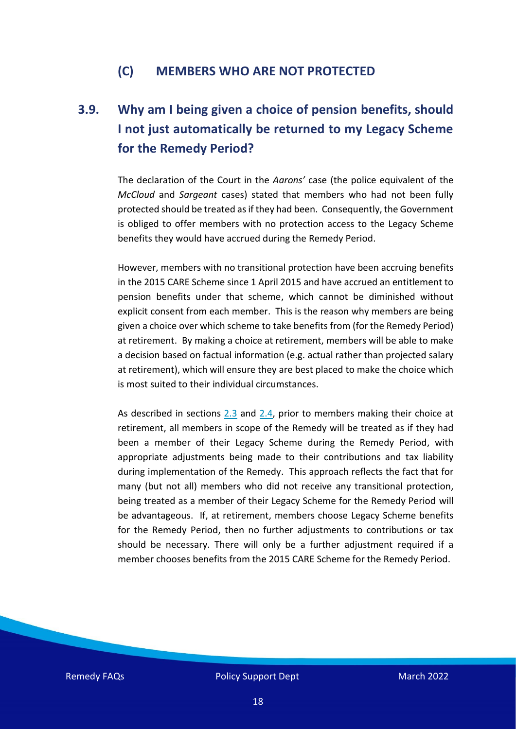#### **(C) MEMBERS WHO ARE NOT PROTECTED**

# <span id="page-17-0"></span>**3.9. Why am I being given a choice of pension benefits, should I not just automatically be returned to my Legacy Scheme for the Remedy Period?**

The declaration of the Court in the *Aarons'* case (the police equivalent of the *McCloud* and *Sargeant* cases) stated that members who had not been fully protected should be treated as if they had been. Consequently, the Government is obliged to offer members with no protection access to the Legacy Scheme benefits they would have accrued during the Remedy Period.

However, members with no transitional protection have been accruing benefits in the 2015 CARE Scheme since 1 April 2015 and have accrued an entitlement to pension benefits under that scheme, which cannot be diminished without explicit consent from each member. This is the reason why members are being given a choice over which scheme to take benefits from (for the Remedy Period) at retirement. By making a choice at retirement, members will be able to make a decision based on factual information (e.g. actual rather than projected salary at retirement), which will ensure they are best placed to make the choice which is most suited to their individual circumstances.

As described in sections [2.3](#page-9-0) and [2.4,](#page-9-1) prior to members making their choice at retirement, all members in scope of the Remedy will be treated as if they had been a member of their Legacy Scheme during the Remedy Period, with appropriate adjustments being made to their contributions and tax liability during implementation of the Remedy. This approach reflects the fact that for many (but not all) members who did not receive any transitional protection, being treated as a member of their Legacy Scheme for the Remedy Period will be advantageous. If, at retirement, members choose Legacy Scheme benefits for the Remedy Period, then no further adjustments to contributions or tax should be necessary. There will only be a further adjustment required if a member chooses benefits from the 2015 CARE Scheme for the Remedy Period.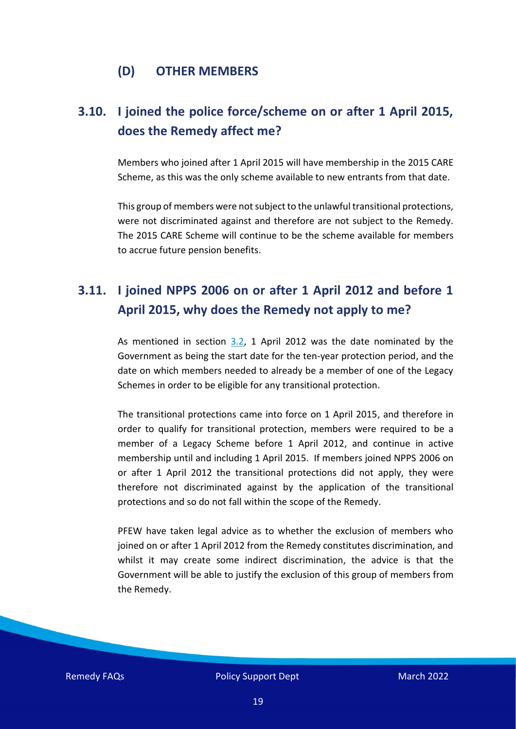#### **(D) OTHER MEMBERS**

# <span id="page-18-0"></span>**3.10. I joined the police force/scheme on or after 1 April 2015, does the Remedy affect me?**

Members who joined after 1 April 2015 will have membership in the 2015 CARE Scheme, as this was the only scheme available to new entrants from that date.

This group of members were not subject to the unlawful transitional protections, were not discriminated against and therefore are not subject to the Remedy. The 2015 CARE Scheme will continue to be the scheme available for members to accrue future pension benefits.

# <span id="page-18-1"></span>**3.11. I joined NPPS 2006 on or after 1 April 2012 and before 1 April 2015, why does the Remedy not apply to me?**

As mentioned in section [3.2,](#page-12-2) 1 April 2012 was the date nominated by the Government as being the start date for the ten-year protection period, and the date on which members needed to already be a member of one of the Legacy Schemes in order to be eligible for any transitional protection.

The transitional protections came into force on 1 April 2015, and therefore in order to qualify for transitional protection, members were required to be a member of a Legacy Scheme before 1 April 2012, and continue in active membership until and including 1 April 2015. If members joined NPPS 2006 on or after 1 April 2012 the transitional protections did not apply, they were therefore not discriminated against by the application of the transitional protections and so do not fall within the scope of the Remedy.

PFEW have taken legal advice as to whether the exclusion of members who joined on or after 1 April 2012 from the Remedy constitutes discrimination, and whilst it may create some indirect discrimination, the advice is that the Government will be able to justify the exclusion of this group of members from the Remedy.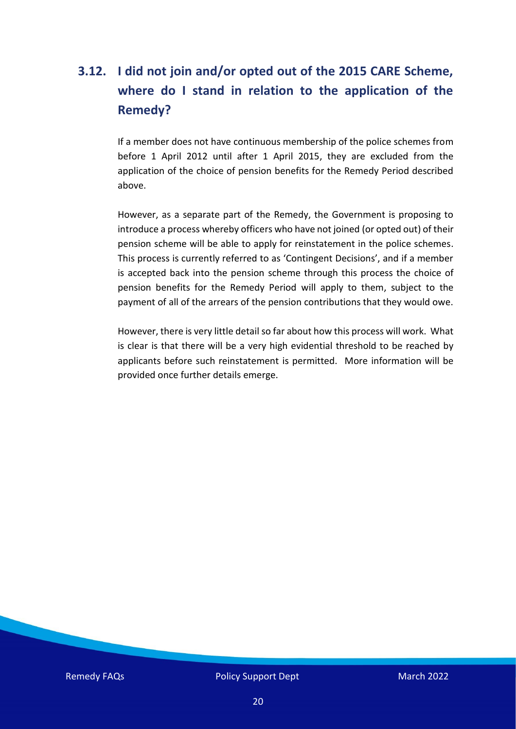# <span id="page-19-0"></span>**3.12. I did not join and/or opted out of the 2015 CARE Scheme, where do I stand in relation to the application of the Remedy?**

If a member does not have continuous membership of the police schemes from before 1 April 2012 until after 1 April 2015, they are excluded from the application of the choice of pension benefits for the Remedy Period described above.

However, as a separate part of the Remedy, the Government is proposing to introduce a process whereby officers who have not joined (or opted out) of their pension scheme will be able to apply for reinstatement in the police schemes. This process is currently referred to as 'Contingent Decisions', and if a member is accepted back into the pension scheme through this process the choice of pension benefits for the Remedy Period will apply to them, subject to the payment of all of the arrears of the pension contributions that they would owe.

However, there is very little detail so far about how this process will work. What is clear is that there will be a very high evidential threshold to be reached by applicants before such reinstatement is permitted. More information will be provided once further details emerge.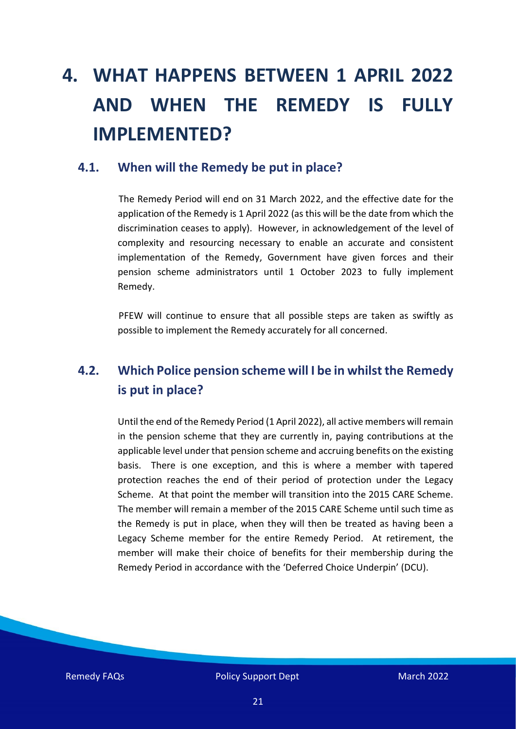# <span id="page-20-0"></span>**4. WHAT HAPPENS BETWEEN 1 APRIL 2022 AND WHEN THE REMEDY IS FULLY IMPLEMENTED?**

#### <span id="page-20-1"></span>**4.1. When will the Remedy be put in place?**

The Remedy Period will end on 31 March 2022, and the effective date for the application of the Remedy is 1 April 2022 (as this will be the date from which the discrimination ceases to apply). However, in acknowledgement of the level of complexity and resourcing necessary to enable an accurate and consistent implementation of the Remedy, Government have given forces and their pension scheme administrators until 1 October 2023 to fully implement Remedy.

PFEW will continue to ensure that all possible steps are taken as swiftly as possible to implement the Remedy accurately for all concerned.

# <span id="page-20-2"></span>**4.2. Which Police pension scheme will I be in whilst the Remedy is put in place?**

Until the end of the Remedy Period (1 April 2022), all active members will remain in the pension scheme that they are currently in, paying contributions at the applicable level under that pension scheme and accruing benefits on the existing basis. There is one exception, and this is where a member with tapered protection reaches the end of their period of protection under the Legacy Scheme. At that point the member will transition into the 2015 CARE Scheme. The member will remain a member of the 2015 CARE Scheme until such time as the Remedy is put in place, when they will then be treated as having been a Legacy Scheme member for the entire Remedy Period. At retirement, the member will make their choice of benefits for their membership during the Remedy Period in accordance with the 'Deferred Choice Underpin' (DCU).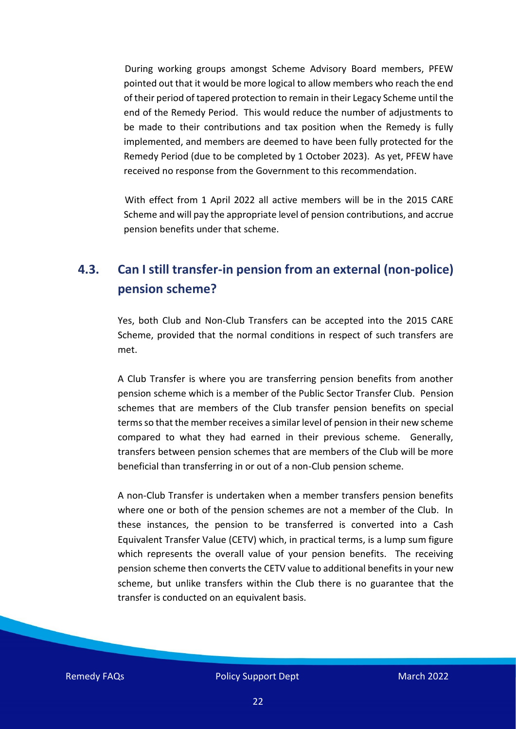During working groups amongst Scheme Advisory Board members, PFEW pointed out that it would be more logical to allow members who reach the end of their period of tapered protection to remain in their Legacy Scheme until the end of the Remedy Period. This would reduce the number of adjustments to be made to their contributions and tax position when the Remedy is fully implemented, and members are deemed to have been fully protected for the Remedy Period (due to be completed by 1 October 2023). As yet, PFEW have received no response from the Government to this recommendation.

With effect from 1 April 2022 all active members will be in the 2015 CARE Scheme and will pay the appropriate level of pension contributions, and accrue pension benefits under that scheme.

## <span id="page-21-0"></span>**4.3. Can I still transfer-in pension from an external (non-police) pension scheme?**

Yes, both Club and Non-Club Transfers can be accepted into the 2015 CARE Scheme, provided that the normal conditions in respect of such transfers are met.

A Club Transfer is where you are transferring pension benefits from another pension scheme which is a member of the Public Sector Transfer Club. Pension schemes that are members of the Club transfer pension benefits on special terms so that the member receives a similar level of pension in their new scheme compared to what they had earned in their previous scheme. Generally, transfers between pension schemes that are members of the Club will be more beneficial than transferring in or out of a non-Club pension scheme.

A non-Club Transfer is undertaken when a member transfers pension benefits where one or both of the pension schemes are not a member of the Club. In these instances, the pension to be transferred is converted into a Cash Equivalent Transfer Value (CETV) which, in practical terms, is a lump sum figure which represents the overall value of your pension benefits. The receiving pension scheme then converts the CETV value to additional benefits in your new scheme, but unlike transfers within the Club there is no guarantee that the transfer is conducted on an equivalent basis.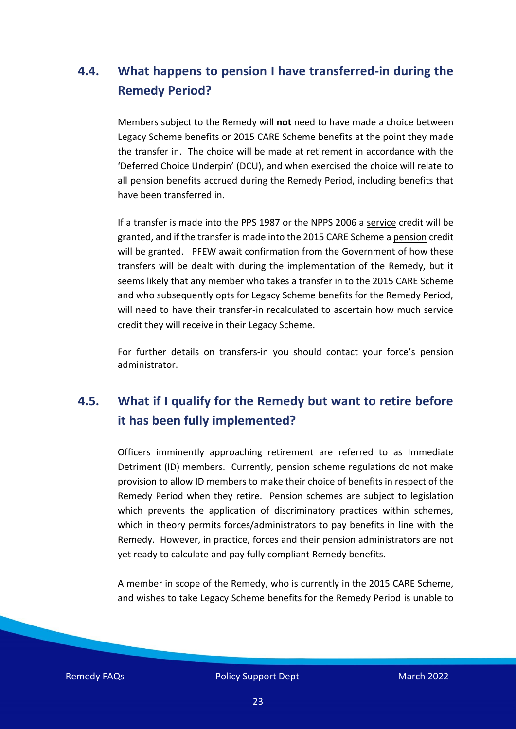# <span id="page-22-0"></span>**4.4. What happens to pension I have transferred-in during the Remedy Period?**

Members subject to the Remedy will **not** need to have made a choice between Legacy Scheme benefits or 2015 CARE Scheme benefits at the point they made the transfer in. The choice will be made at retirement in accordance with the 'Deferred Choice Underpin' (DCU), and when exercised the choice will relate to all pension benefits accrued during the Remedy Period, including benefits that have been transferred in.

If a transfer is made into the PPS 1987 or the NPPS 2006 a service credit will be granted, and if the transfer is made into the 2015 CARE Scheme a pension credit will be granted. PFEW await confirmation from the Government of how these transfers will be dealt with during the implementation of the Remedy, but it seems likely that any member who takes a transfer in to the 2015 CARE Scheme and who subsequently opts for Legacy Scheme benefits for the Remedy Period, will need to have their transfer-in recalculated to ascertain how much service credit they will receive in their Legacy Scheme.

For further details on transfers-in you should contact your force's pension administrator.

# <span id="page-22-1"></span>**4.5. What if I qualify for the Remedy but want to retire before it has been fully implemented?**

Officers imminently approaching retirement are referred to as Immediate Detriment (ID) members. Currently, pension scheme regulations do not make provision to allow ID members to make their choice of benefits in respect of the Remedy Period when they retire. Pension schemes are subject to legislation which prevents the application of discriminatory practices within schemes, which in theory permits forces/administrators to pay benefits in line with the Remedy. However, in practice, forces and their pension administrators are not yet ready to calculate and pay fully compliant Remedy benefits.

A member in scope of the Remedy, who is currently in the 2015 CARE Scheme, and wishes to take Legacy Scheme benefits for the Remedy Period is unable to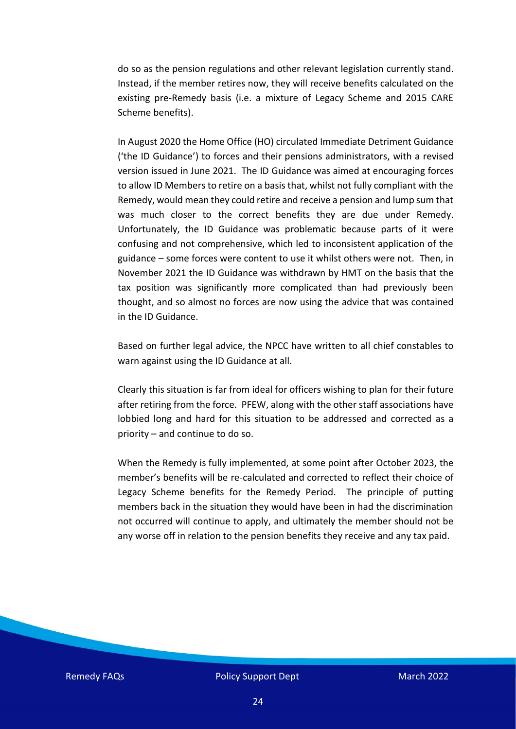do so as the pension regulations and other relevant legislation currently stand. Instead, if the member retires now, they will receive benefits calculated on the existing pre-Remedy basis (i.e. a mixture of Legacy Scheme and 2015 CARE Scheme benefits).

In August 2020 the Home Office (HO) circulated Immediate Detriment Guidance ('the ID Guidance') to forces and their pensions administrators, with a revised version issued in June 2021. The ID Guidance was aimed at encouraging forces to allow ID Members to retire on a basis that, whilst not fully compliant with the Remedy, would mean they could retire and receive a pension and lump sum that was much closer to the correct benefits they are due under Remedy. Unfortunately, the ID Guidance was problematic because parts of it were confusing and not comprehensive, which led to inconsistent application of the guidance – some forces were content to use it whilst others were not. Then, in November 2021 the ID Guidance was withdrawn by HMT on the basis that the tax position was significantly more complicated than had previously been thought, and so almost no forces are now using the advice that was contained in the ID Guidance.

Based on further legal advice, the NPCC have written to all chief constables to warn against using the ID Guidance at all.

Clearly this situation is far from ideal for officers wishing to plan for their future after retiring from the force. PFEW, along with the other staff associations have lobbied long and hard for this situation to be addressed and corrected as a priority – and continue to do so.

When the Remedy is fully implemented, at some point after October 2023, the member's benefits will be re-calculated and corrected to reflect their choice of Legacy Scheme benefits for the Remedy Period. The principle of putting members back in the situation they would have been in had the discrimination not occurred will continue to apply, and ultimately the member should not be any worse off in relation to the pension benefits they receive and any tax paid.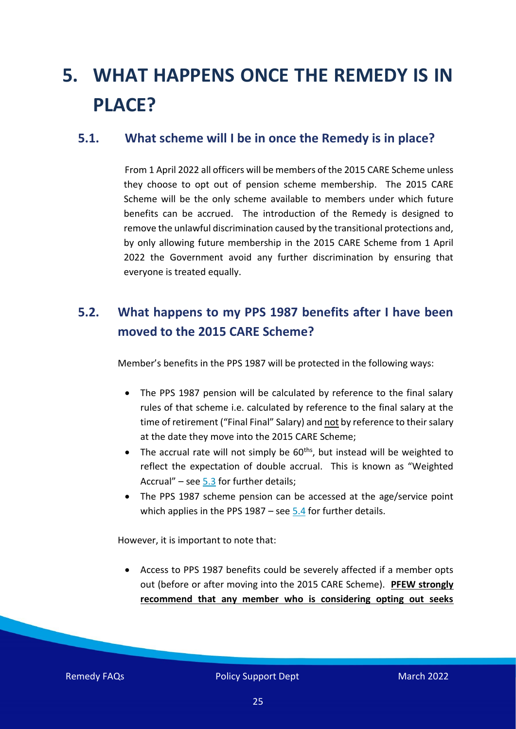# <span id="page-24-0"></span>**5. WHAT HAPPENS ONCE THE REMEDY IS IN PLACE?**

#### <span id="page-24-1"></span>**5.1. What scheme will I be in once the Remedy is in place?**

From 1 April 2022 all officers will be members of the 2015 CARE Scheme unless they choose to opt out of pension scheme membership. The 2015 CARE Scheme will be the only scheme available to members under which future benefits can be accrued. The introduction of the Remedy is designed to remove the unlawful discrimination caused by the transitional protections and, by only allowing future membership in the 2015 CARE Scheme from 1 April 2022 the Government avoid any further discrimination by ensuring that everyone is treated equally.

# <span id="page-24-2"></span>**5.2. What happens to my PPS 1987 benefits after I have been moved to the 2015 CARE Scheme?**

Member's benefits in the PPS 1987 will be protected in the following ways:

- The PPS 1987 pension will be calculated by reference to the final salary rules of that scheme i.e. calculated by reference to the final salary at the time of retirement ("Final Final" Salary) and not by reference to their salary at the date they move into the 2015 CARE Scheme;
- The accrual rate will not simply be  $60<sup>ths</sup>$ , but instead will be weighted to reflect the expectation of double accrual. This is known as "Weighted Accrual" – see  $5.3$  for further details;
- The PPS 1987 scheme pension can be accessed at the age/service point which applies in the PPS  $1987 -$  see [5.4](#page-27-0) for further details.

However, it is important to note that:

• Access to PPS 1987 benefits could be severely affected if a member opts out (before or after moving into the 2015 CARE Scheme). **PFEW strongly recommend that any member who is considering opting out seeks**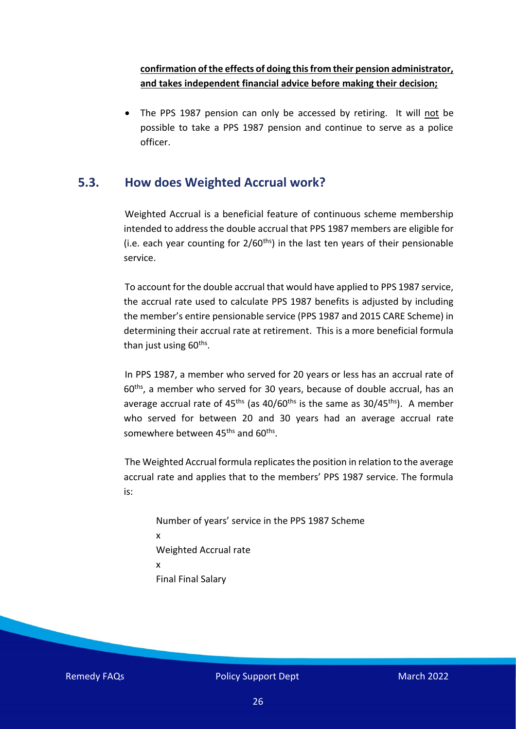#### **confirmation of the effects of doing thisfrom their pension administrator, and takes independent financial advice before making their decision;**

• The PPS 1987 pension can only be accessed by retiring. It will not be possible to take a PPS 1987 pension and continue to serve as a police officer.

#### <span id="page-25-0"></span>**5.3. How does Weighted Accrual work?**

Weighted Accrual is a beneficial feature of continuous scheme membership intended to address the double accrual that PPS 1987 members are eligible for (i.e. each year counting for  $2/60<sup>ths</sup>$ ) in the last ten years of their pensionable service.

To account for the double accrual that would have applied to PPS 1987 service, the accrual rate used to calculate PPS 1987 benefits is adjusted by including the member's entire pensionable service (PPS 1987 and 2015 CARE Scheme) in determining their accrual rate at retirement. This is a more beneficial formula than just using 60<sup>ths</sup>.

In PPS 1987, a member who served for 20 years or less has an accrual rate of 60ths, a member who served for 30 years, because of double accrual, has an average accrual rate of  $45<sup>ths</sup>$  (as  $40/60<sup>ths</sup>$  is the same as  $30/45<sup>ths</sup>$ ). A member who served for between 20 and 30 years had an average accrual rate somewhere between 45<sup>ths</sup> and 60<sup>ths</sup>.

The Weighted Accrual formula replicates the position in relation to the average accrual rate and applies that to the members' PPS 1987 service. The formula is:

Number of years' service in the PPS 1987 Scheme x Weighted Accrual rate x Final Final Salary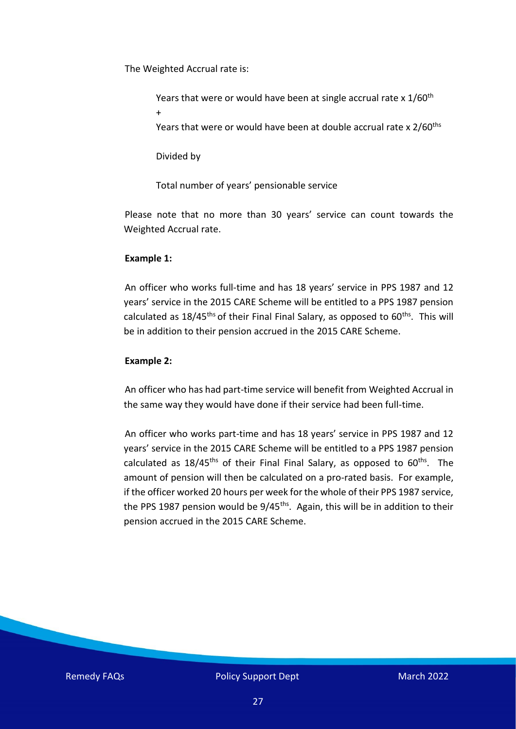The Weighted Accrual rate is:

Years that were or would have been at single accrual rate x 1/60<sup>th</sup> + Years that were or would have been at double accrual rate x 2/60<sup>ths</sup>

Divided by

Total number of years' pensionable service

Please note that no more than 30 years' service can count towards the Weighted Accrual rate.

#### **Example 1:**

An officer who works full-time and has 18 years' service in PPS 1987 and 12 years' service in the 2015 CARE Scheme will be entitled to a PPS 1987 pension calculated as  $18/45$ <sup>ths</sup> of their Final Final Salary, as opposed to  $60$ <sup>ths</sup>. This will be in addition to their pension accrued in the 2015 CARE Scheme.

#### **Example 2:**

An officer who has had part-time service will benefit from Weighted Accrual in the same way they would have done if their service had been full-time.

An officer who works part-time and has 18 years' service in PPS 1987 and 12 years' service in the 2015 CARE Scheme will be entitled to a PPS 1987 pension calculated as  $18/45^{\text{ths}}$  of their Final Final Salary, as opposed to  $60^{\text{ths}}$ . The amount of pension will then be calculated on a pro-rated basis. For example, if the officer worked 20 hours per week for the whole of their PPS 1987 service, the PPS 1987 pension would be 9/45<sup>ths</sup>. Again, this will be in addition to their pension accrued in the 2015 CARE Scheme.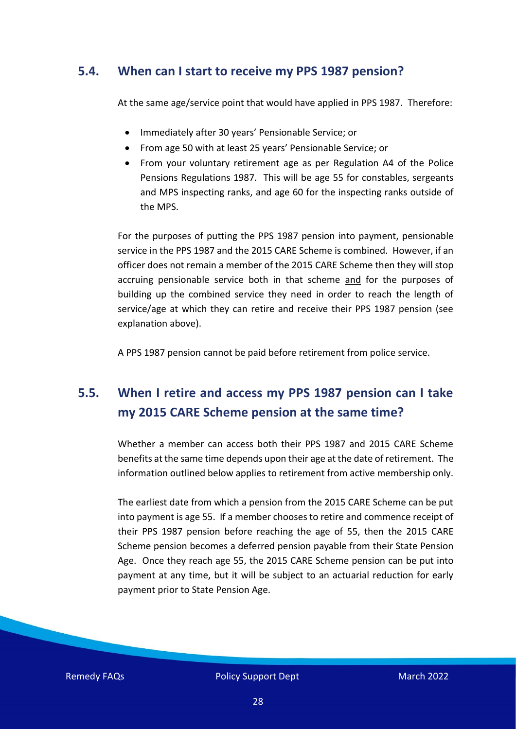#### <span id="page-27-0"></span>**5.4. When can I start to receive my PPS 1987 pension?**

At the same age/service point that would have applied in PPS 1987. Therefore:

- Immediately after 30 years' Pensionable Service; or
- From age 50 with at least 25 years' Pensionable Service; or
- From your voluntary retirement age as per Regulation A4 of the Police Pensions Regulations 1987. This will be age 55 for constables, sergeants and MPS inspecting ranks, and age 60 for the inspecting ranks outside of the MPS.

For the purposes of putting the PPS 1987 pension into payment, pensionable service in the PPS 1987 and the 2015 CARE Scheme is combined. However, if an officer does not remain a member of the 2015 CARE Scheme then they will stop accruing pensionable service both in that scheme and for the purposes of building up the combined service they need in order to reach the length of service/age at which they can retire and receive their PPS 1987 pension (see explanation above).

A PPS 1987 pension cannot be paid before retirement from police service.

# <span id="page-27-1"></span>**5.5. When I retire and access my PPS 1987 pension can I take my 2015 CARE Scheme pension at the same time?**

Whether a member can access both their PPS 1987 and 2015 CARE Scheme benefits at the same time depends upon their age at the date of retirement. The information outlined below applies to retirement from active membership only.

The earliest date from which a pension from the 2015 CARE Scheme can be put into payment is age 55. If a member chooses to retire and commence receipt of their PPS 1987 pension before reaching the age of 55, then the 2015 CARE Scheme pension becomes a deferred pension payable from their State Pension Age. Once they reach age 55, the 2015 CARE Scheme pension can be put into payment at any time, but it will be subject to an actuarial reduction for early payment prior to State Pension Age.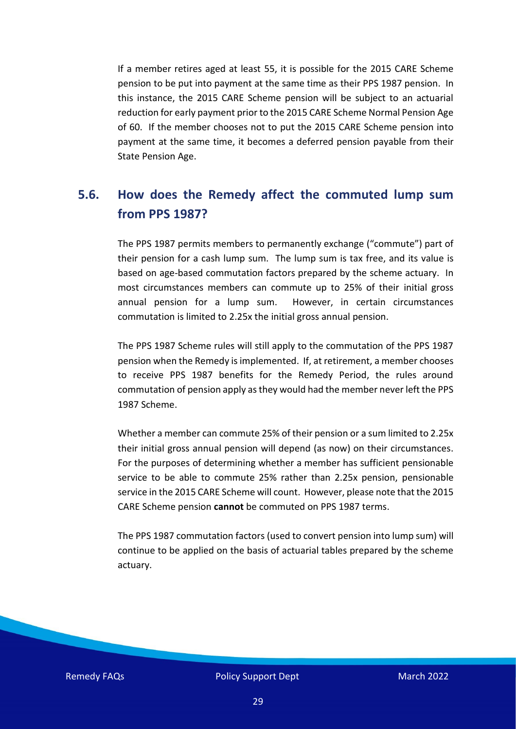If a member retires aged at least 55, it is possible for the 2015 CARE Scheme pension to be put into payment at the same time as their PPS 1987 pension. In this instance, the 2015 CARE Scheme pension will be subject to an actuarial reduction for early payment prior to the 2015 CARE Scheme Normal Pension Age of 60. If the member chooses not to put the 2015 CARE Scheme pension into payment at the same time, it becomes a deferred pension payable from their State Pension Age.

### <span id="page-28-0"></span>**5.6. How does the Remedy affect the commuted lump sum from PPS 1987?**

The PPS 1987 permits members to permanently exchange ("commute") part of their pension for a cash lump sum. The lump sum is tax free, and its value is based on age-based commutation factors prepared by the scheme actuary. In most circumstances members can commute up to 25% of their initial gross annual pension for a lump sum. However, in certain circumstances commutation is limited to 2.25x the initial gross annual pension.

The PPS 1987 Scheme rules will still apply to the commutation of the PPS 1987 pension when the Remedy is implemented. If, at retirement, a member chooses to receive PPS 1987 benefits for the Remedy Period, the rules around commutation of pension apply as they would had the member never left the PPS 1987 Scheme.

Whether a member can commute 25% of their pension or a sum limited to 2.25x their initial gross annual pension will depend (as now) on their circumstances. For the purposes of determining whether a member has sufficient pensionable service to be able to commute 25% rather than 2.25x pension, pensionable service in the 2015 CARE Scheme will count. However, please note that the 2015 CARE Scheme pension **cannot** be commuted on PPS 1987 terms.

The PPS 1987 commutation factors (used to convert pension into lump sum) will continue to be applied on the basis of actuarial tables prepared by the scheme actuary.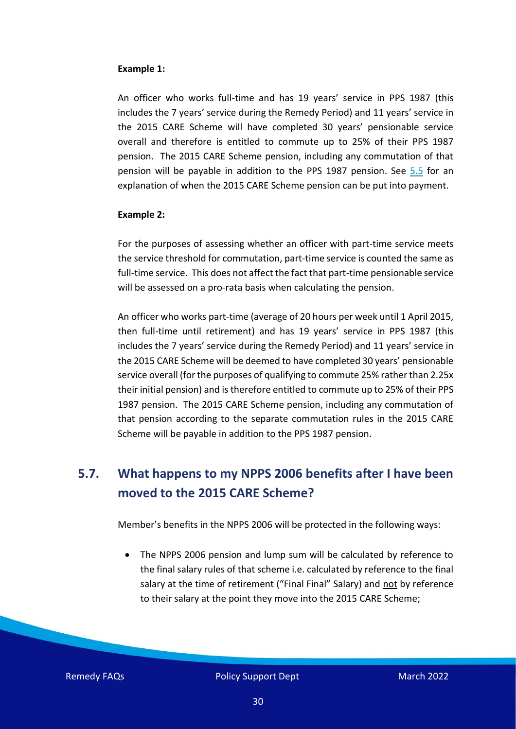#### **Example 1:**

An officer who works full-time and has 19 years' service in PPS 1987 (this includes the 7 years' service during the Remedy Period) and 11 years' service in the 2015 CARE Scheme will have completed 30 years' pensionable service overall and therefore is entitled to commute up to 25% of their PPS 1987 pension. The 2015 CARE Scheme pension, including any commutation of that pension will be payable in addition to the PPS 1987 pension. See [5.5](#page-27-1) for an explanation of when the 2015 CARE Scheme pension can be put into payment.

#### **Example 2:**

For the purposes of assessing whether an officer with part-time service meets the service threshold for commutation, part-time service is counted the same as full-time service. This does not affect the fact that part-time pensionable service will be assessed on a pro-rata basis when calculating the pension.

An officer who works part-time (average of 20 hours per week until 1 April 2015, then full-time until retirement) and has 19 years' service in PPS 1987 (this includes the 7 years' service during the Remedy Period) and 11 years' service in the 2015 CARE Scheme will be deemed to have completed 30 years' pensionable service overall (for the purposes of qualifying to commute 25% rather than 2.25x their initial pension) and is therefore entitled to commute up to 25% of their PPS 1987 pension. The 2015 CARE Scheme pension, including any commutation of that pension according to the separate commutation rules in the 2015 CARE Scheme will be payable in addition to the PPS 1987 pension.

## <span id="page-29-0"></span>**5.7. What happens to my NPPS 2006 benefits after I have been moved to the 2015 CARE Scheme?**

Member's benefits in the NPPS 2006 will be protected in the following ways:

• The NPPS 2006 pension and lump sum will be calculated by reference to the final salary rules of that scheme i.e. calculated by reference to the final salary at the time of retirement ("Final Final" Salary) and not by reference to their salary at the point they move into the 2015 CARE Scheme;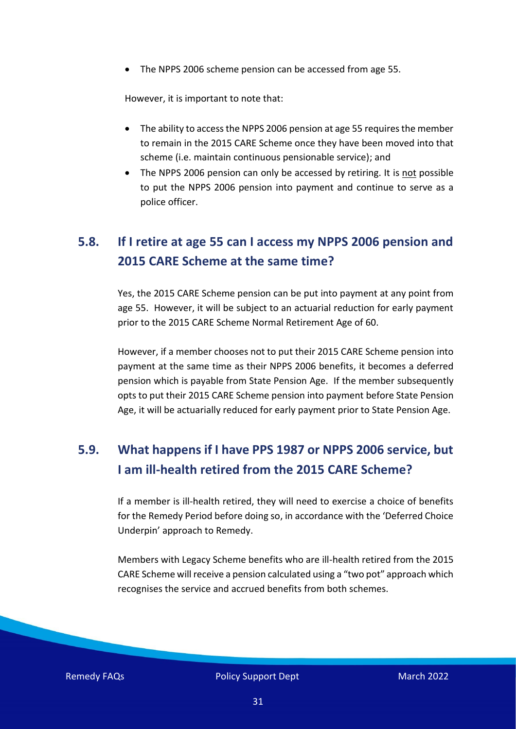• The NPPS 2006 scheme pension can be accessed from age 55.

However, it is important to note that:

- The ability to access the NPPS 2006 pension at age 55 requires the member to remain in the 2015 CARE Scheme once they have been moved into that scheme (i.e. maintain continuous pensionable service); and
- The NPPS 2006 pension can only be accessed by retiring. It is not possible to put the NPPS 2006 pension into payment and continue to serve as a police officer.

# <span id="page-30-0"></span>**5.8. If I retire at age 55 can I access my NPPS 2006 pension and 2015 CARE Scheme at the same time?**

Yes, the 2015 CARE Scheme pension can be put into payment at any point from age 55. However, it will be subject to an actuarial reduction for early payment prior to the 2015 CARE Scheme Normal Retirement Age of 60.

However, if a member chooses not to put their 2015 CARE Scheme pension into payment at the same time as their NPPS 2006 benefits, it becomes a deferred pension which is payable from State Pension Age. If the member subsequently opts to put their 2015 CARE Scheme pension into payment before State Pension Age, it will be actuarially reduced for early payment prior to State Pension Age.

# <span id="page-30-1"></span>**5.9. What happens if I have PPS 1987 or NPPS 2006 service, but I am ill-health retired from the 2015 CARE Scheme?**

If a member is ill-health retired, they will need to exercise a choice of benefits for the Remedy Period before doing so, in accordance with the 'Deferred Choice Underpin' approach to Remedy.

Members with Legacy Scheme benefits who are ill-health retired from the 2015 CARE Scheme will receive a pension calculated using a "two pot" approach which recognises the service and accrued benefits from both schemes.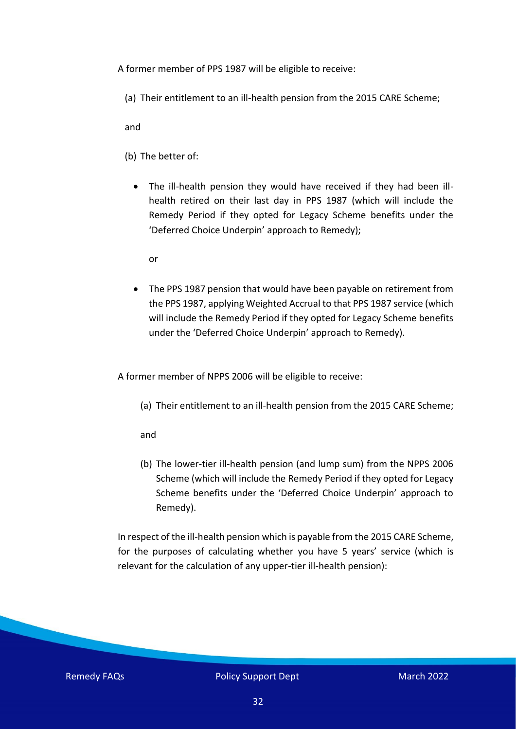A former member of PPS 1987 will be eligible to receive:

(a) Their entitlement to an ill-health pension from the 2015 CARE Scheme;

and

- (b) The better of:
	- The ill-health pension they would have received if they had been illhealth retired on their last day in PPS 1987 (which will include the Remedy Period if they opted for Legacy Scheme benefits under the 'Deferred Choice Underpin' approach to Remedy);

or

• The PPS 1987 pension that would have been payable on retirement from the PPS 1987, applying Weighted Accrual to that PPS 1987 service (which will include the Remedy Period if they opted for Legacy Scheme benefits under the 'Deferred Choice Underpin' approach to Remedy).

A former member of NPPS 2006 will be eligible to receive:

(a) Their entitlement to an ill-health pension from the 2015 CARE Scheme;

#### and

(b) The lower-tier ill-health pension (and lump sum) from the NPPS 2006 Scheme (which will include the Remedy Period if they opted for Legacy Scheme benefits under the 'Deferred Choice Underpin' approach to Remedy).

In respect of the ill-health pension which is payable from the 2015 CARE Scheme, for the purposes of calculating whether you have 5 years' service (which is relevant for the calculation of any upper-tier ill-health pension):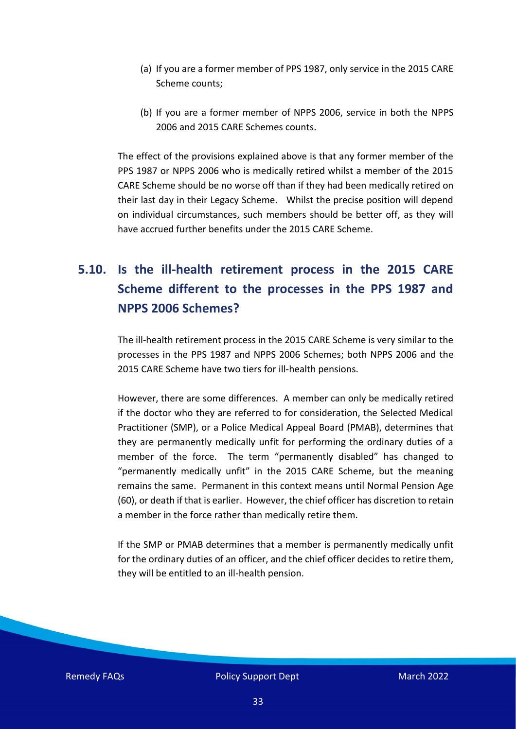- (a) If you are a former member of PPS 1987, only service in the 2015 CARE Scheme counts;
- (b) If you are a former member of NPPS 2006, service in both the NPPS 2006 and 2015 CARE Schemes counts.

The effect of the provisions explained above is that any former member of the PPS 1987 or NPPS 2006 who is medically retired whilst a member of the 2015 CARE Scheme should be no worse off than if they had been medically retired on their last day in their Legacy Scheme. Whilst the precise position will depend on individual circumstances, such members should be better off, as they will have accrued further benefits under the 2015 CARE Scheme.

# <span id="page-32-0"></span>**5.10. Is the ill-health retirement process in the 2015 CARE Scheme different to the processes in the PPS 1987 and NPPS 2006 Schemes?**

The ill-health retirement process in the 2015 CARE Scheme is very similar to the processes in the PPS 1987 and NPPS 2006 Schemes; both NPPS 2006 and the 2015 CARE Scheme have two tiers for ill-health pensions.

However, there are some differences. A member can only be medically retired if the doctor who they are referred to for consideration, the Selected Medical Practitioner (SMP), or a Police Medical Appeal Board (PMAB), determines that they are permanently medically unfit for performing the ordinary duties of a member of the force. The term "permanently disabled" has changed to "permanently medically unfit" in the 2015 CARE Scheme, but the meaning remains the same. Permanent in this context means until Normal Pension Age (60), or death if that is earlier. However, the chief officer has discretion to retain a member in the force rather than medically retire them.

If the SMP or PMAB determines that a member is permanently medically unfit for the ordinary duties of an officer, and the chief officer decides to retire them, they will be entitled to an ill-health pension.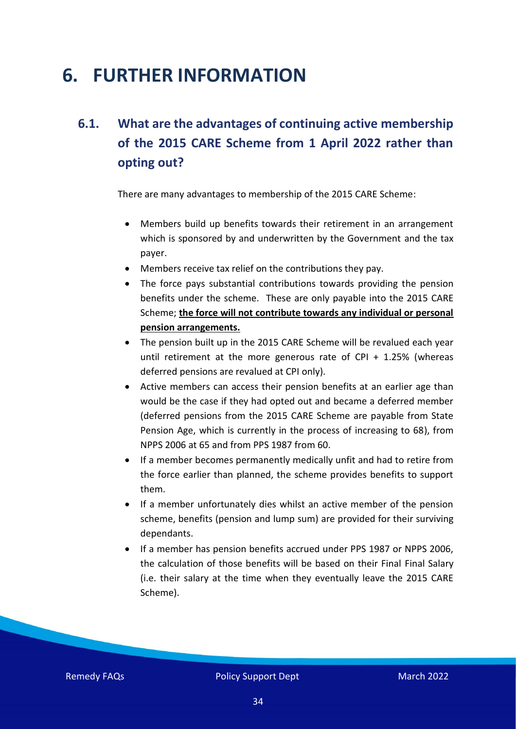# <span id="page-33-1"></span>**6. FURTHER INFORMATION**

# <span id="page-33-0"></span>**6.1. What are the advantages of continuing active membership of the 2015 CARE Scheme from 1 April 2022 rather than opting out?**

There are many advantages to membership of the 2015 CARE Scheme:

- Members build up benefits towards their retirement in an arrangement which is sponsored by and underwritten by the Government and the tax payer.
- Members receive tax relief on the contributions they pay.
- The force pays substantial contributions towards providing the pension benefits under the scheme. These are only payable into the 2015 CARE Scheme; **the force will not contribute towards any individual or personal pension arrangements.**
- The pension built up in the 2015 CARE Scheme will be revalued each year until retirement at the more generous rate of CPI + 1.25% (whereas deferred pensions are revalued at CPI only).
- Active members can access their pension benefits at an earlier age than would be the case if they had opted out and became a deferred member (deferred pensions from the 2015 CARE Scheme are payable from State Pension Age, which is currently in the process of increasing to 68), from NPPS 2006 at 65 and from PPS 1987 from 60.
- If a member becomes permanently medically unfit and had to retire from the force earlier than planned, the scheme provides benefits to support them.
- If a member unfortunately dies whilst an active member of the pension scheme, benefits (pension and lump sum) are provided for their surviving dependants.
- If a member has pension benefits accrued under PPS 1987 or NPPS 2006, the calculation of those benefits will be based on their Final Final Salary (i.e. their salary at the time when they eventually leave the 2015 CARE Scheme).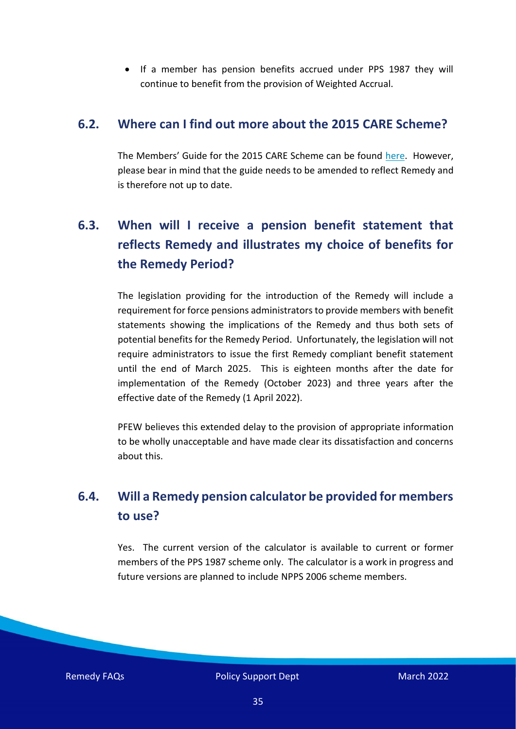• If a member has pension benefits accrued under PPS 1987 they will continue to benefit from the provision of Weighted Accrual.

#### <span id="page-34-0"></span>**6.2. Where can I find out more about the 2015 CARE Scheme?**

The Members' Guide for the 2015 CARE Scheme can be found [here.](https://www.gov.uk/government/publications/the-police-pensions-scheme-2015-members-guide) However, please bear in mind that the guide needs to be amended to reflect Remedy and is therefore not up to date.

# <span id="page-34-1"></span>**6.3. When will I receive a pension benefit statement that reflects Remedy and illustrates my choice of benefits for the Remedy Period?**

The legislation providing for the introduction of the Remedy will include a requirement for force pensions administrators to provide members with benefit statements showing the implications of the Remedy and thus both sets of potential benefits for the Remedy Period. Unfortunately, the legislation will not require administrators to issue the first Remedy compliant benefit statement until the end of March 2025. This is eighteen months after the date for implementation of the Remedy (October 2023) and three years after the effective date of the Remedy (1 April 2022).

PFEW believes this extended delay to the provision of appropriate information to be wholly unacceptable and have made clear its dissatisfaction and concerns about this.

# <span id="page-34-2"></span>**6.4. Will a Remedy pension calculator be provided for members to use?**

Yes. The current version of the calculator is available to current or former members of the PPS 1987 scheme only. The calculator is a work in progress and future versions are planned to include NPPS 2006 scheme members.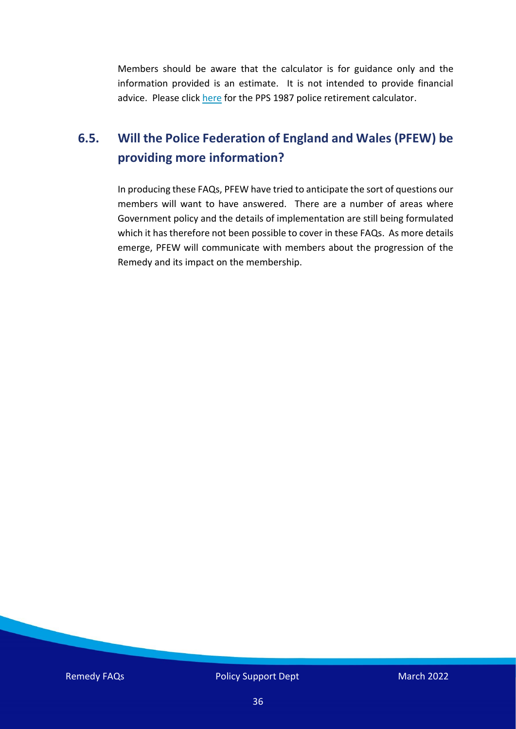Members should be aware that the calculator is for guidance only and the information provided is an estimate. It is not intended to provide financial advice. Please click [here](https://www.myownpension.co.uk/mccloud/) for the PPS 1987 police retirement calculator.

## <span id="page-35-0"></span>**6.5. Will the Police Federation of England and Wales (PFEW) be providing more information?**

In producing these FAQs, PFEW have tried to anticipate the sort of questions our members will want to have answered. There are a number of areas where Government policy and the details of implementation are still being formulated which it has therefore not been possible to cover in these FAQs. As more details emerge, PFEW will communicate with members about the progression of the Remedy and its impact on the membership.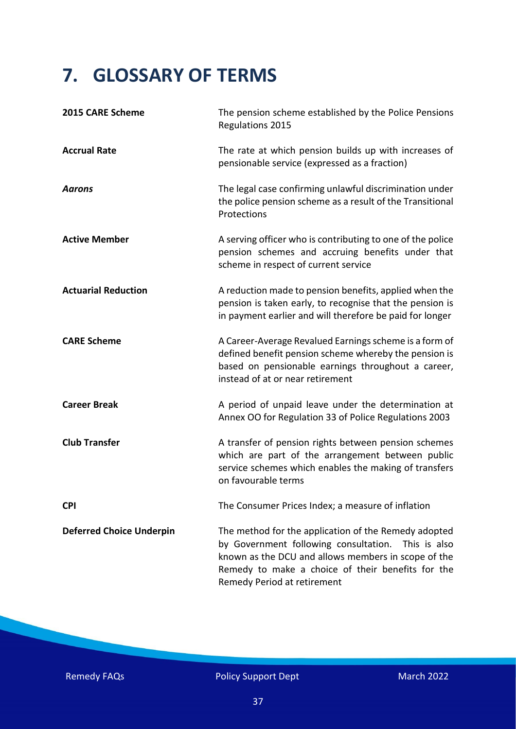# <span id="page-36-0"></span>**7. GLOSSARY OF TERMS**

| 2015 CARE Scheme                | The pension scheme established by the Police Pensions<br>Regulations 2015                                                                                                                                                                                |
|---------------------------------|----------------------------------------------------------------------------------------------------------------------------------------------------------------------------------------------------------------------------------------------------------|
| <b>Accrual Rate</b>             | The rate at which pension builds up with increases of<br>pensionable service (expressed as a fraction)                                                                                                                                                   |
| <b>Aarons</b>                   | The legal case confirming unlawful discrimination under<br>the police pension scheme as a result of the Transitional<br>Protections                                                                                                                      |
| <b>Active Member</b>            | A serving officer who is contributing to one of the police<br>pension schemes and accruing benefits under that<br>scheme in respect of current service                                                                                                   |
| <b>Actuarial Reduction</b>      | A reduction made to pension benefits, applied when the<br>pension is taken early, to recognise that the pension is<br>in payment earlier and will therefore be paid for longer                                                                           |
| <b>CARE Scheme</b>              | A Career-Average Revalued Earnings scheme is a form of<br>defined benefit pension scheme whereby the pension is<br>based on pensionable earnings throughout a career,<br>instead of at or near retirement                                                |
| <b>Career Break</b>             | A period of unpaid leave under the determination at<br>Annex OO for Regulation 33 of Police Regulations 2003                                                                                                                                             |
| <b>Club Transfer</b>            | A transfer of pension rights between pension schemes<br>which are part of the arrangement between public<br>service schemes which enables the making of transfers<br>on favourable terms                                                                 |
| <b>CPI</b>                      | The Consumer Prices Index; a measure of inflation                                                                                                                                                                                                        |
| <b>Deferred Choice Underpin</b> | The method for the application of the Remedy adopted<br>by Government following consultation.<br>This is also<br>known as the DCU and allows members in scope of the<br>Remedy to make a choice of their benefits for the<br>Remedy Period at retirement |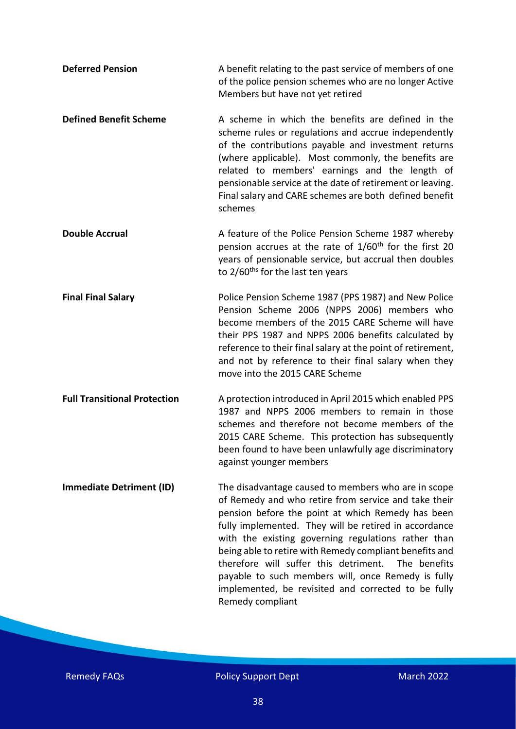| <b>Deferred Pension</b>             | A benefit relating to the past service of members of one<br>of the police pension schemes who are no longer Active<br>Members but have not yet retired                                                                                                                                                                                                                                                                                                                                                                                |
|-------------------------------------|---------------------------------------------------------------------------------------------------------------------------------------------------------------------------------------------------------------------------------------------------------------------------------------------------------------------------------------------------------------------------------------------------------------------------------------------------------------------------------------------------------------------------------------|
| <b>Defined Benefit Scheme</b>       | A scheme in which the benefits are defined in the<br>scheme rules or regulations and accrue independently<br>of the contributions payable and investment returns<br>(where applicable). Most commonly, the benefits are<br>related to members' earnings and the length of<br>pensionable service at the date of retirement or leaving.<br>Final salary and CARE schemes are both defined benefit<br>schemes                                                                                                                           |
| <b>Double Accrual</b>               | A feature of the Police Pension Scheme 1987 whereby<br>pension accrues at the rate of 1/60 <sup>th</sup> for the first 20<br>years of pensionable service, but accrual then doubles<br>to 2/60 <sup>ths</sup> for the last ten years                                                                                                                                                                                                                                                                                                  |
| <b>Final Final Salary</b>           | Police Pension Scheme 1987 (PPS 1987) and New Police<br>Pension Scheme 2006 (NPPS 2006) members who<br>become members of the 2015 CARE Scheme will have<br>their PPS 1987 and NPPS 2006 benefits calculated by<br>reference to their final salary at the point of retirement,<br>and not by reference to their final salary when they<br>move into the 2015 CARE Scheme                                                                                                                                                               |
| <b>Full Transitional Protection</b> | A protection introduced in April 2015 which enabled PPS<br>1987 and NPPS 2006 members to remain in those<br>schemes and therefore not become members of the<br>2015 CARE Scheme. This protection has subsequently<br>been found to have been unlawfully age discriminatory<br>against younger members                                                                                                                                                                                                                                 |
| <b>Immediate Detriment (ID)</b>     | The disadvantage caused to members who are in scope<br>of Remedy and who retire from service and take their<br>pension before the point at which Remedy has been<br>fully implemented. They will be retired in accordance<br>with the existing governing regulations rather than<br>being able to retire with Remedy compliant benefits and<br>therefore will suffer this detriment.<br>The benefits<br>payable to such members will, once Remedy is fully<br>implemented, be revisited and corrected to be fully<br>Remedy compliant |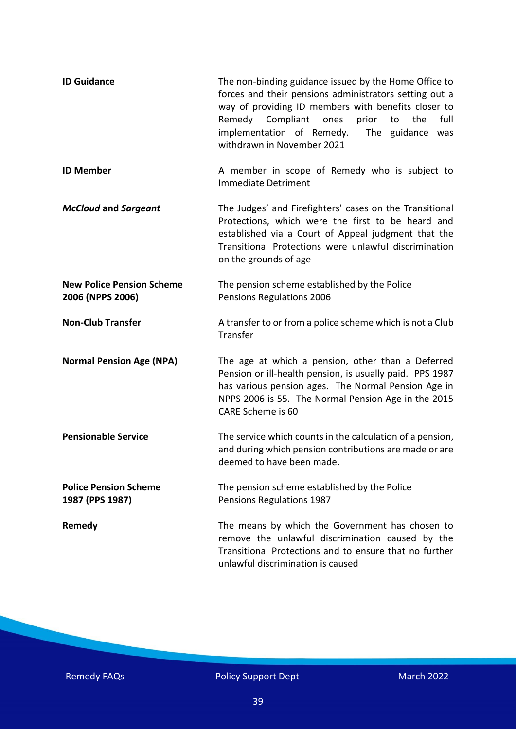| <b>ID Guidance</b>                                   | The non-binding guidance issued by the Home Office to<br>forces and their pensions administrators setting out a<br>way of providing ID members with benefits closer to<br>Remedy Compliant ones<br>prior<br>full<br>to<br>the<br>implementation of Remedy.<br>The guidance was<br>withdrawn in November 2021 |
|------------------------------------------------------|--------------------------------------------------------------------------------------------------------------------------------------------------------------------------------------------------------------------------------------------------------------------------------------------------------------|
| <b>ID Member</b>                                     | A member in scope of Remedy who is subject to<br><b>Immediate Detriment</b>                                                                                                                                                                                                                                  |
| <b>McCloud and Sargeant</b>                          | The Judges' and Firefighters' cases on the Transitional<br>Protections, which were the first to be heard and<br>established via a Court of Appeal judgment that the<br>Transitional Protections were unlawful discrimination<br>on the grounds of age                                                        |
| <b>New Police Pension Scheme</b><br>2006 (NPPS 2006) | The pension scheme established by the Police<br>Pensions Regulations 2006                                                                                                                                                                                                                                    |
| <b>Non-Club Transfer</b>                             | A transfer to or from a police scheme which is not a Club<br>Transfer                                                                                                                                                                                                                                        |
| <b>Normal Pension Age (NPA)</b>                      | The age at which a pension, other than a Deferred<br>Pension or ill-health pension, is usually paid. PPS 1987<br>has various pension ages. The Normal Pension Age in<br>NPPS 2006 is 55. The Normal Pension Age in the 2015<br>CARE Scheme is 60                                                             |
| <b>Pensionable Service</b>                           | The service which counts in the calculation of a pension,<br>and during which pension contributions are made or are<br>deemed to have been made.                                                                                                                                                             |
| <b>Police Pension Scheme</b><br>1987 (PPS 1987)      | The pension scheme established by the Police<br>Pensions Regulations 1987                                                                                                                                                                                                                                    |
| Remedy                                               | The means by which the Government has chosen to<br>remove the unlawful discrimination caused by the<br>Transitional Protections and to ensure that no further<br>unlawful discrimination is caused                                                                                                           |